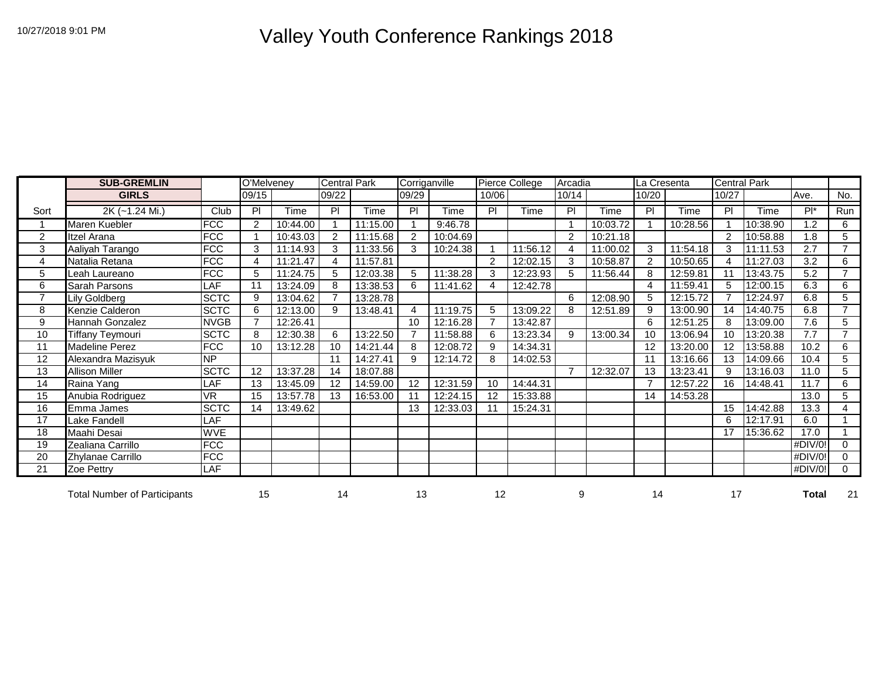## 10/27/2018 9:01 PM Valley Youth Conference Rankings 2018

|                | <b>SUB-GREMLIN</b>                  |                          | O'Melveney     |          | <b>Central Park</b> |          | Corriganville |          |                | Pierce College | Arcadia        |          | La Cresenta |          | <b>Central Park</b> |          |         |                |
|----------------|-------------------------------------|--------------------------|----------------|----------|---------------------|----------|---------------|----------|----------------|----------------|----------------|----------|-------------|----------|---------------------|----------|---------|----------------|
|                | <b>GIRLS</b>                        |                          | 09/15          |          | 09/22               |          | 09/29         |          | 10/06          |                | 10/14          |          | 10/20       |          | 10/27               |          | Ave.    | No.            |
| Sort           | 2K (~1.24 Mi.)                      | Club                     | PI             | Time     | PI                  | Time     | PI            | Time     | PI             | Time           | PI             | Time     | PI          | Time     | PI                  | Time     | $Pl^*$  | Run            |
|                | Maren Kuebler                       | <b>FCC</b>               | $\overline{2}$ | 10:44.00 |                     | 11:15.00 |               | 9:46.78  |                |                |                | 10:03.72 |             | 10:28.56 |                     | 10:38.90 | 1.2     | 6              |
| 2              | Itzel Arana                         | <b>FCC</b>               |                | 10:43.03 | 2                   | 11:15.68 | 2             | 10:04.69 |                |                | 2              | 10:21.18 |             |          | 2                   | 10:58.88 | 1.8     | 5              |
| 3              | Aaliyah Tarango                     | <b>FCC</b>               | 3              | 11:14.93 | 3                   | 11:33.56 | 3             | 10:24.38 |                | 11:56.12       | 4              | 11:00.02 | 3           | 11:54.18 | 3                   | 11:11.53 | 2.7     | $\overline{7}$ |
| 4              | Natalia Retana                      | <b>FCC</b>               | 4              | 11:21.47 | 4                   | 11:57.81 |               |          | $\overline{2}$ | 12:02.15       | 3              | 10:58.87 | 2           | 10:50.65 |                     | 11:27.03 | 3.2     | 6              |
| 5              | Leah Laureano                       | FCC                      | 5              | 11:24.75 | 5                   | 12:03.38 | 5             | 11:38.28 | 3              | 12:23.93       | 5              | 11:56.44 | 8           | 12:59.81 |                     | 13:43.75 | 5.2     | $\overline{7}$ |
| 6              | Sarah Parsons                       | LAF                      | 11             | 13:24.09 | 8                   | 13:38.53 | 6             | 11:41.62 | 4              | 12:42.78       |                |          | 4           | 11:59.41 | 5                   | 12:00.15 | 6.3     | 6              |
| $\overline{7}$ | Lily Goldberg                       | <b>SCTC</b>              | 9              | 13:04.62 | $\overline{7}$      | 13:28.78 |               |          |                |                | 6              | 12:08.90 | 5           | 12:15.72 |                     | 12:24.97 | 6.8     | 5              |
| 8              | Kenzie Calderon                     | <b>SCTC</b>              | 6              | 12:13.00 | 9                   | 13:48.41 | 4             | 11:19.75 | 5              | 13:09.22       | 8              | 12:51.89 | 9           | 13:00.90 | 14                  | 14:40.75 | 6.8     | $\overline{7}$ |
| 9              | Hannah Gonzalez                     | <b>NVGB</b>              |                | 12:26.41 |                     |          | 10            | 12:16.28 |                | 13:42.87       |                |          | 6           | 12:51.25 | 8                   | 13:09.00 | 7.6     | 5              |
| 10             | <b>Tiffany Teymouri</b>             | <b>SCTC</b>              | 8              | 12:30.38 | 6                   | 13:22.50 |               | 11:58.88 | 6              | 13:23.34       | 9              | 13:00.34 | 10          | 13:06.94 | 10                  | 13:20.38 | 7.7     | $\overline{7}$ |
| 11             | Madeline Perez                      | <b>FCC</b>               | 10             | 13:12.28 | 10                  | 14:21.44 | 8             | 12:08.72 | 9              | 14:34.31       |                |          | 12          | 13:20.00 | 12                  | 13:58.88 | 10.2    | 6              |
| 12             | Alexandra Mazisyuk                  | NP                       |                |          | 11                  | 14:27.41 | 9             | 12:14.72 | 8              | 14:02.53       |                |          | 11          | 13:16.66 | 13                  | 14:09.66 | 10.4    | 5              |
| 13             | <b>Allison Miller</b>               | <b>SCTC</b>              | 12             | 13:37.28 | 14                  | 18:07.88 |               |          |                |                | $\overline{7}$ | 12:32.07 | 13          | 13:23.41 | 9                   | 13:16.03 | 11.0    | 5              |
| 14             | Raina Yang                          | LAF                      | 13             | 13:45.09 | 12                  | 14:59.00 | 12            | 12:31.59 | 10             | 14:44.31       |                |          | 7           | 12:57.22 | 16                  | 14:48.41 | 11.7    | 6              |
| 15             | Anubia Rodriguez                    | VR                       | 15             | 13:57.78 | 13                  | 16:53.00 |               | 12:24.15 | 12             | 15:33.88       |                |          | 14          | 14:53.28 |                     |          | 13.0    | 5              |
| 16             | Emma James                          | <b>SCTC</b>              | 14             | 13:49.62 |                     |          | 13            | 12:33.03 |                | 15:24.31       |                |          |             |          | 15                  | 14:42.88 | 13.3    | 4              |
| 17             | Lake Fandell                        | $\overline{\mathsf{AF}}$ |                |          |                     |          |               |          |                |                |                |          |             |          | 6                   | 12:17.91 | 6.0     |                |
| 18             | Maahi Desai                         | <b>WVE</b>               |                |          |                     |          |               |          |                |                |                |          |             |          | 17                  | 15:36.62 | 17.0    |                |
| 19             | Zealiana Carrillo                   | <b>FCC</b>               |                |          |                     |          |               |          |                |                |                |          |             |          |                     |          | #DIV/0! | $\Omega$       |
| 20             | Zhylanae Carrillo                   | <b>FCC</b>               |                |          |                     |          |               |          |                |                |                |          |             |          |                     |          | #DIV/0! | $\Omega$       |
| 21             | Zoe Pettry                          | LAF                      |                |          |                     |          |               |          |                |                |                |          |             |          |                     |          | #DIV/0! | $\mathbf 0$    |
|                | <b>Total Number of Participants</b> |                          | 15             |          | 14                  |          | 13            |          | 12             |                | 9              |          | 14          |          | 17                  |          | Total   | 21             |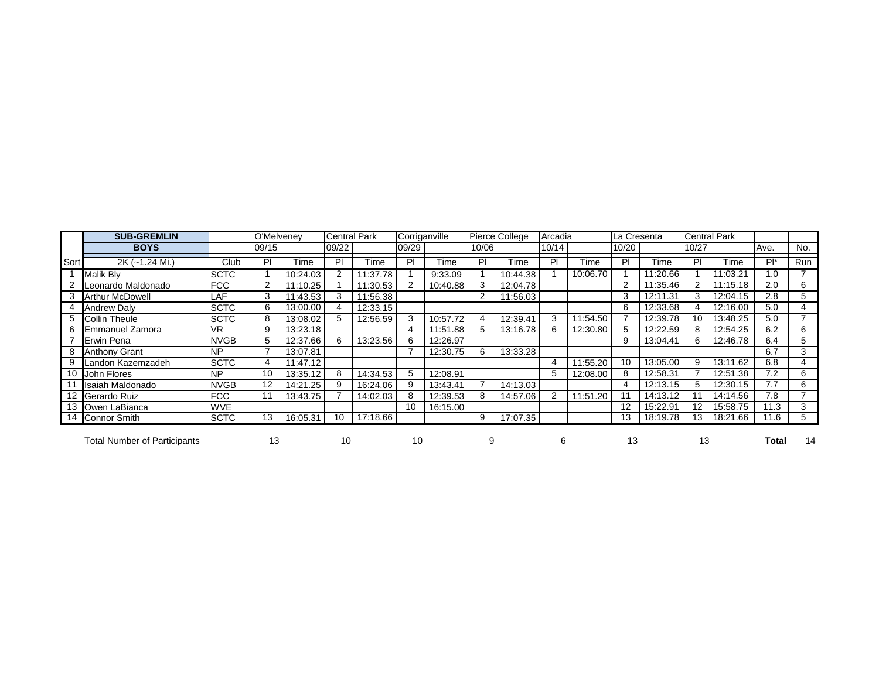|                 | <b>SUB-GREMLIN</b>                  |             | O'Melveney |          | Central Park |          | Corriganville |          |       | <b>Pierce College</b> | Arcadia |          | La Cresenta |          | <b>Central Park</b> |          |        |            |
|-----------------|-------------------------------------|-------------|------------|----------|--------------|----------|---------------|----------|-------|-----------------------|---------|----------|-------------|----------|---------------------|----------|--------|------------|
|                 | <b>BOYS</b>                         |             | 09/15      |          | 09/22        |          | 09/29         |          | 10/06 |                       | 10/14   |          | 10/20       |          | 10/27               |          | Ave.   | No.        |
| Sort            | 2K (~1.24 Mi.)                      | Club        | PI         | Time     | PI           | Time     | PI            | Time     | PI    | Time                  | P       | Time     | PI          | Time     | P                   | Time     | $Pl^*$ | <b>Run</b> |
|                 | Malik Bly                           | <b>SCTC</b> |            | 10:24.03 |              | 1:37.78  |               | 9:33.09  |       | 10:44.38              |         | 10:06.70 |             | 11:20.66 |                     | :03.21   | .0     |            |
|                 | Leonardo Maldonado                  | <b>FCC</b>  | 2          | 11:10.25 |              | 11:30.53 |               | 10:40.88 |       | 12:04.78              |         |          | 2           | 11:35.46 |                     | 11:15.18 | 2.0    | 6          |
|                 | <b>Arthur McDowell</b>              | LAF         | 3          | 11:43.53 | 3            | 11:56.38 |               |          | 2     | 11:56.03              |         |          | 3           | 12:11.31 |                     | 12:04.15 | 2.8    | 5.         |
|                 | <b>Andrew Daly</b>                  | <b>SCTC</b> | 6          | 13:00.00 |              | 12:33.15 |               |          |       |                       |         |          | 6           | 12:33.68 |                     | 12:16.00 | 5.0    |            |
|                 | <b>Collin Theule</b>                | <b>SCTC</b> | 8          | 13:08.02 | 5            | 12:56.59 | 3             | 10:57.72 |       | 12:39.41              | 3       | 11:54.50 |             | 12:39.78 | 10                  | 13:48.25 | 5.0    |            |
|                 | Emmanuel Zamora                     | <b>VR</b>   | 9          | 13:23.18 |              |          | 4             | 11:51.88 | 5     | 13:16.78              | 6       | 12:30.80 |             | 12:22.59 |                     | 12:54.25 | 6.2    | 6          |
|                 | Erwin Pena                          | <b>NVGB</b> | 5          | 12:37.66 | 6            | 13:23.56 | 6             | 12:26.97 |       |                       |         |          | 9           | 13:04.41 |                     | 12:46.78 | 6.4    | 5          |
|                 | <b>Anthony Grant</b>                | <b>NP</b>   |            | 13:07.81 |              |          |               | 12:30.75 | 6     | 13:33.28              |         |          |             |          |                     |          | 6.7    | 3          |
|                 | Landon Kazemzadeh                   | <b>SCTC</b> | 4          | 11:47.12 |              |          |               |          |       |                       | 4       | 11:55.20 | 10          | 13:05.00 | 9                   | 13:11.62 | 6.8    |            |
| 10 <sup>1</sup> | John Flores                         | <b>NP</b>   | 10         | 13:35.12 | 8            | 14:34.53 | 5             | 12:08.91 |       |                       | 5       | 12:08.00 | 8           | 12:58.31 |                     | 12:51.38 | 7.2    | 6          |
|                 | Isaiah Maldonado                    | <b>NVGB</b> | 12         | 14:21.25 | 9            | 16:24.06 | 9             | 13:43.41 |       | 14:13.03              |         |          |             | 12:13.15 |                     | 12:30.15 | 7.7    | 6          |
|                 | Gerardo Ruiz                        | <b>FCC</b>  | 11         | 13:43.75 |              | 14:02.03 | 8             | 12:39.53 | 8     | 14:57.06              | 2       | 11:51.20 |             | 14:13.12 |                     | 14:14.56 | 7.8    |            |
|                 | 13 Owen LaBianca                    | <b>WVE</b>  |            |          |              |          | 10            | 16:15.00 |       |                       |         |          | 12          | 15:22.91 |                     | 15:58.75 | 11.3   | 3          |
|                 | 14 Connor Smith                     | <b>SCTC</b> | 13         | 16:05.31 | 10           | 17:18.66 |               |          | 9     | 17:07.35              |         |          | 13          | 18:19.78 | 13                  | 18:21.66 | 11.6   | 5.         |
|                 | <b>Total Number of Participants</b> |             | 13         |          | 10           |          | 10            |          |       |                       | 6       |          | 13          |          | 13                  |          | Total  | 14         |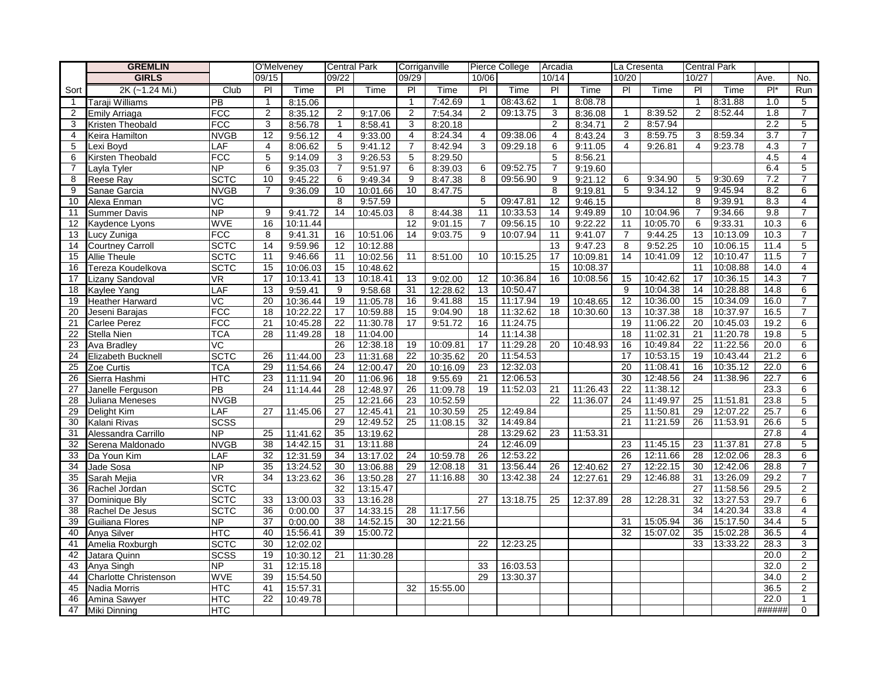|                 | <b>GREMLIN</b>               |                    | O'Melveney      |                      |                | <b>Central Park</b>  | Corriganville   |          |                | Pierce College       | Arcadia        |             | La Cresenta    |          |                | <b>Central Park</b> |                  |                     |
|-----------------|------------------------------|--------------------|-----------------|----------------------|----------------|----------------------|-----------------|----------|----------------|----------------------|----------------|-------------|----------------|----------|----------------|---------------------|------------------|---------------------|
|                 | <b>GIRLS</b>                 |                    | 09/15           |                      | 09/22          |                      | 09/29           |          | 10/06          |                      | 10/14          |             | 10/20          |          | 10/27          |                     | Ave.             | No.                 |
| Sort            | 2K (~1.24 Mi.)               | Club               | PI              | Time                 | PI             | Time                 | PI              | Time     | <b>PI</b>      | Time                 | PI             | Time        | PI             | Time     | PI             | Time                | $Pl^*$           | Run                 |
| $\mathbf{1}$    | Taraji Williams              | PB                 | $\overline{1}$  | 8:15.06              |                |                      | $\mathbf{1}$    | 7:42.69  | $\mathbf{1}$   | 08:43.62             | $\overline{1}$ | 8:08.78     |                |          | $\mathbf 1$    | 8:31.88             | 1.0              | 5                   |
| 2               | Emily Arriaga                | <b>FCC</b>         | $\overline{2}$  | 8:35.12              | $\overline{2}$ | 9:17.06              | $\overline{2}$  | 7:54.34  | $\overline{2}$ | 09:13.75             | $\overline{3}$ | 8:36.08     | $\mathbf{1}$   | 8:39.52  | $\overline{2}$ | 8:52.44             | 1.8              | $\overline{7}$      |
| 3               | Kristen Theobald             | <b>FCC</b>         | 3               | 8:56.78              | $\mathbf{1}$   | 8:58.41              | 3               | 8:20.18  |                |                      | 2              | 8:34.71     | $\overline{2}$ | 8:57.94  |                |                     | 2.2              | $\overline{5}$      |
| 4               | Keira Hamilton               | <b>NVGB</b>        | 12              | 9:56.12              | 4              | 9:33.00              | 4               | 8:24.34  | 4              | 09:38.06             | 4              | 8:43.24     | 3              | 8:59.75  | 3              | 8:59.34             | $\overline{3.7}$ | $\overline{7}$      |
| 5               | Lexi Boyd                    | LAF                | 4               | 8:06.62              | 5              | 9:41.12              | $\overline{7}$  | 8:42.94  | 3              | 09:29.18             | 6              | 9:11.05     | 4              | 9:26.81  | 4              | 9:23.78             | 4.3              | $\overline{7}$      |
| 6               | Kirsten Theobald             | <b>FCC</b>         | 5               | 9:14.09              | 3              | 9:26.53              | 5               | 8:29.50  |                |                      | $\overline{5}$ | 8:56.21     |                |          |                |                     | 4.5              | $\overline{4}$      |
| $\overline{7}$  | Layla Tyler                  | <b>NP</b>          | 6               | 9:35.03              | $\overline{7}$ | 9:51.97              | 6               | 8:39.03  | 6              | 09:52.75             | $\overline{7}$ | 9:19.60     |                |          |                |                     | 6.4              | 5                   |
| 8               | <b>Reese Ray</b>             | <b>SCTC</b>        | 10              | 9:45.22              | 6              | 9:49.34              | 9               | 8:47.38  | 8              | 09:56.90             | 9              | 9:21.12     | 6              | 9:34.90  | 5              | 9:30.69             | 7.2              | $\overline{7}$      |
| 9               | Sanae Garcia                 | <b>NVGB</b>        | $\overline{7}$  | 9:36.09              | 10             | 10:01.66             | 10              | 8:47.75  |                |                      | 8              | 9:19.81     | 5              | 9:34.12  | 9              | 9:45.94             | 8.2              | 6                   |
| 10              | Alexa Enman                  | $\overline{VC}$    |                 |                      | 8              | 9:57.59              |                 |          | 5              | 09:47.81             | 12             | 9:46.15     |                |          | 8              | 9:39.91             | 8.3              | $\overline{4}$      |
| 11              | <b>Summer Davis</b>          | <u>Δ</u>           | 9               | 9:41.72              | 14             | 10:45.03             | 8               | 8:44.38  | 11             | 10:33.53             | 14             | 9:49.89     | 10             | 10:04.96 | $\overline{7}$ | 9:34.66             | 9.8              | $\overline{7}$      |
| 12              | Kaydence Lyons               | <b>WVE</b>         | 16              | 10:11.44             |                |                      | $\overline{12}$ | 9:01.15  | $\overline{7}$ | 09:56.15             | 10             | 9:22.22     | 11             | 10:05.70 | 6              | 9:33.31             | 10.3             | 6                   |
| 13              | Lucy Zuniga                  | <b>FCC</b>         | 8               | 9:41.31              | 16             | 10:51.06             | 14              | 9:03.75  | 9              | 10:07.94             | 11             | 9:41.07     | $\overline{7}$ | 9:44.25  | 13             | 10:13.09            | 10.3             | $\overline{7}$      |
| 14              | <b>Courtney Carroll</b>      | <b>SCTC</b>        | 14              | 9:59.96              | 12             | 10:12.88             |                 |          |                |                      | 13             | 9:47.23     | 8              | 9:52.25  | 10             | 10:06.15            | 11.4             | 5                   |
| 15              | Allie Theule                 | <b>SCTC</b>        | 11              | 9:46.66              | 11             | 10:02.56             | 11              | 8:51.00  | 10             | 10:15.25             | 17             | 10:09.81    | 14             | 10:41.09 | 12             | 10:10.47            | 11.5             | $\overline{7}$      |
| 16              | Tereza Koudelkova            | <b>SCTC</b>        | 15              | 10:06.03             | 15             | 10:48.62             |                 |          |                |                      | 15             | 10:08.37    |                |          | 11             | 10:08.88            | 14.0             | $\overline{4}$      |
| 17              | Lizany Sandoval              | <b>VR</b>          | 17              | 10:13.41             | 13             | 10:18.41             | 13              | 9:02.00  | 12             | 10:36.84             | 16             | 10:08.56    | 15             | 10:42.62 | 17             | 10:36.15            | 14.3             | $\overline{7}$      |
| 18              | Kaylee Yang                  | LAF                | 13              | 9:59.41              | 9              | 9:58.68              | 31              | 12:28.62 | 13             | 10:50.47             |                |             | 9              | 10:04.38 | 14             | 10:28.88            | 14.8             | 6                   |
| 19              | <b>Heather Harward</b>       | VC                 | 20              | 10:36.44             | 19             | 11:05.78             | 16              | 9:41.88  | 15             | 11:17.94             | 19             | 10:48.65    | 12             | 10:36.00 | 15             | 10:34.09            | 16.0             | $\overline{7}$      |
| 20              | Jeseni Barajas               | <b>FCC</b>         | 18              | 10:22.22             | 17             | 10:59.88             | 15              | 9:04.90  | 18             | 11:32.62             | 18             | 10:30.60    | 13             | 10:37.38 | 18             | 10:37.97            | 16.5             | $\overline{7}$      |
| 21              | <b>Carlee Perez</b>          | <b>FCC</b>         | 21              | 10:45.28             | 22             | 11:30.78             | 17              | 9:51.72  | 16             | 11:24.75             |                |             | 19             | 11:06.22 | 20             | 10:45.03            | 19.2             | 6                   |
| 22              | <b>Stella Nien</b>           | <b>TCA</b>         | 28              | 11:49.28             | 18             | 11:04.00             |                 |          | 14             | 11:14.38             |                |             | 18             | 11:02.31 | 21             | 11:20.78            | 19.8             | 5                   |
| $\overline{23}$ | Ava Bradley                  | VC                 |                 |                      | 26             | 12:38.18             | 19              | 10:09.81 | 17             | 11:29.28             | 20             | 10:48.93    | 16             | 10:49.84 | 22             | 11:22.56            | 20.0             | 6                   |
| 24              | Elizabeth Bucknell           | <b>SCTC</b>        | 26              | 11:44.00             | 23             | 11:31.68             | 22              | 10:35.62 | 20             | 11:54.53             |                |             | 17             | 10:53.15 | 19             | 10:43.44            | 21.2             | 6                   |
| 25              | Zoe Curtis                   | <b>TCA</b>         | 29              | 11:54.66             | 24             | 12:00.47             | 20              | 10:16.09 | 23             | 12:32.03             |                |             | 20             | 11:08.41 | 16             | 10:35.12            | 22.0             | 6                   |
| 26              | Sierra Hashmi                | <b>HTC</b>         | 23              | 11:11.94             | 20             | 11:06.96             | 18              | 9:55.69  | 21             | 12:06.53             |                |             | 30             | 12:48.56 | 24             | 11:38.96            | 22.7             | 6                   |
| 27              | Janelle Ferguson             | PB                 | 24              | 11:14.44             | 28             | 12:48.97             | 26              | 11:09.78 | 19             | 11:52.03             | 21             | 11:26.43    | 22             | 11:38.12 |                |                     | 23.3             | 6                   |
| 28              | Juliana Meneses              | <b>NVGB</b>        |                 |                      | 25             | 12:21.66             | 23              | 10:52.59 |                |                      | 22             | 11:36.07    | 24             | 11:49.97 | 25             | 11:51.81            | 23.8             | 5                   |
| 29              | Delight Kim                  | LAF                | 27              | 11:45.06             | 27             | 12:45.41             | 21              | 10:30.59 | 25             | 12:49.84             |                |             | 25             | 11:50.81 | 29             | 12:07.22            | 25.7             | 6                   |
| 30              | Kalani Rivas                 | <b>SCSS</b>        |                 |                      | 29             | 12:49.52             | 25              | 11:08.15 | 32             | 14:49.84<br>13:29.62 |                | 23 11:53.31 | 21             | 11:21.59 | 26             | 11:53.91            | 26.6             | 5                   |
| 31<br>32        | Alessandra Carrillo          | <b>NP</b>          | 25<br>38        | 11:41.62<br>14:42.15 | 35<br>31       | 13:19.62             |                 |          | 28<br>24       | 12:46.09             |                |             | 23             | 11:45.15 | 23             | 11:37.81            | 27.8<br>27.8     | 4<br>$\overline{5}$ |
| 33              | Serena Maldonado             | <b>NVGB</b><br>LAF | 32              | 12:31.59             | 34             | 13:11.88<br>13:17.02 | 24              | 10:59.78 | 26             | 12:53.22             |                |             | 26             | 12:11.66 | 28             | 12:02.06            | 28.3             | 6                   |
| 34              | Da Youn Kim<br>Jade Sosa     | <b>NP</b>          | 35              | 13:24.52             | 30             | 13:06.88             | 29              | 12:08.18 | 31             | 13:56.44             | 26             | 12:40.62    | 27             | 12:22.15 | 30             | 12:42.06            | 28.8             | $\overline{7}$      |
| 35              | Sarah Mejia                  | <b>VR</b>          | 34              | 13:23.62             | 36             | 13:50.28             | 27              | 11:16.88 | 30             | 13:42.38             | 24             | 12:27.61    | 29             | 12:46.88 | 31             | 13:26.09            | 29.2             | $\overline{7}$      |
| 36              | Rachel Jordan                | <b>SCTC</b>        |                 |                      | 32             | 13:15.47             |                 |          |                |                      |                |             |                |          | 27             | 11:58.56            | 29.5             | $\overline{2}$      |
| 37              | Dominique Bly                | <b>SCTC</b>        | 33              | 13:00.03             | 33             | 13:16.28             |                 |          | 27             | 13:18.75             | 25             | 12:37.89    | 28             | 12:28.31 | 32             | 13:27.53            | 29.7             | 6                   |
| 38              | Rachel De Jesus              | <b>SCTC</b>        | $\overline{36}$ | 0:00.00              | 37             | 14:33.15             | 28              | 11:17.56 |                |                      |                |             |                |          | 34             | 14:20.34            | 33.8             | 4                   |
| 39              | Guiliana Flores              | <b>NP</b>          | 37              | 0:00.00              | 38             | 14:52.15             | 30              | 12:21.56 |                |                      |                |             | 31             | 15:05.94 | 36             | 15:17.50            | 34.4             | 5                   |
| 40              | Anya Silver                  | <b>HTC</b>         | 40              | 15:56.41             | 39             | 15:00.72             |                 |          |                |                      |                |             | 32             | 15:07.02 | 35             | 15:02.28            | 36.5             | $\overline{4}$      |
| 41              | Amelia Roxburgh              | <b>SCTC</b>        | 30              | 12:02.02             |                |                      |                 |          | 22             | 12:23.25             |                |             |                |          | 33             | 13:33.22            | 28.3             | 3                   |
| 42              | Jatara Quinn                 | <b>SCSS</b>        | 19              | 10:30.12             | 21             | 11:30.28             |                 |          |                |                      |                |             |                |          |                |                     | 20.0             | $\overline{2}$      |
| 43              | Anya Singh                   | <b>NP</b>          | 31              | 12:15.18             |                |                      |                 |          | 33             | 16:03.53             |                |             |                |          |                |                     | 32.0             | $\overline{2}$      |
| 44              | <b>Charlotte Christenson</b> | <b>WVE</b>         | 39              | 15:54.50             |                |                      |                 |          | 29             | 13:30.37             |                |             |                |          |                |                     | 34.0             | $\overline{2}$      |
| 45              | Nadia Morris                 | <b>HTC</b>         | 41              | 15:57.31             |                |                      | 32              | 15:55.00 |                |                      |                |             |                |          |                |                     | 36.5             | $\overline{2}$      |
| 46              | Amina Sawyer                 | <b>HTC</b>         | 22              | 10:49.78             |                |                      |                 |          |                |                      |                |             |                |          |                |                     | 22.0             | $\mathbf{1}$        |
| 47              | Miki Dinning                 | <b>HTC</b>         |                 |                      |                |                      |                 |          |                |                      |                |             |                |          |                |                     | ######           | $\Omega$            |
|                 |                              |                    |                 |                      |                |                      |                 |          |                |                      |                |             |                |          |                |                     |                  |                     |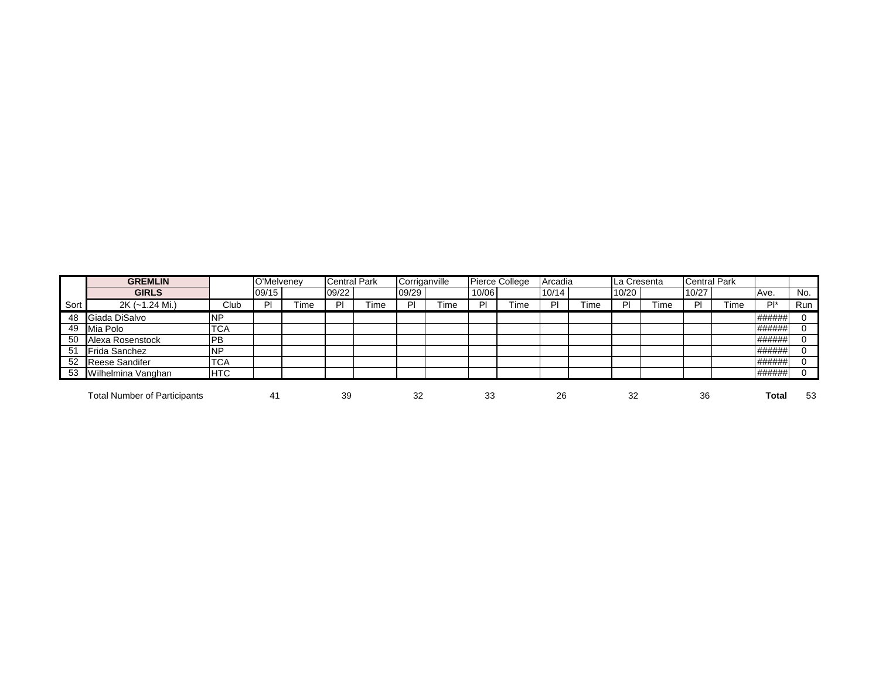|      | <b>GREMLIN</b>                      |            | O'Melvenev |      | <b>Central Park</b> |       | Corriganville |      |       | <b>Pierce College</b> | Arcadia |    | La Cresenta |     | Central Park |      |              |     |
|------|-------------------------------------|------------|------------|------|---------------------|-------|---------------|------|-------|-----------------------|---------|----|-------------|-----|--------------|------|--------------|-----|
|      | <b>GIRLS</b>                        |            | 09/15      |      | 09/22               |       | 09/29         |      | 10/06 |                       | 10/14   |    | 10/20       |     | 10/27        |      | Ave.         | No. |
| Sort | 2K (~1.24 Mi.)                      | Club       | וס         | Гіmе | ΡI                  | Time. | PI            | Гime | DI    | -ime                  | PI      | ™e | ΡI          | ïme |              | ⊺ime | $Pl^*$       | Run |
| 48   | Giada DiSalvo                       | <b>NP</b>  |            |      |                     |       |               |      |       |                       |         |    |             |     |              |      | ######       |     |
| 49   | Mia Polo                            | <b>TCA</b> |            |      |                     |       |               |      |       |                       |         |    |             |     |              |      | ######       |     |
| 50   | Alexa Rosenstock                    | PB         |            |      |                     |       |               |      |       |                       |         |    |             |     |              |      | ######       |     |
| 51   | Frida Sanchez                       | <b>NP</b>  |            |      |                     |       |               |      |       |                       |         |    |             |     |              |      | ######       |     |
| 52   | Reese Sandifer                      | <b>TCA</b> |            |      |                     |       |               |      |       |                       |         |    |             |     |              |      | ######       |     |
| 53   | Wilhelmina Vanghan                  | <b>HTC</b> |            |      |                     |       |               |      |       |                       |         |    |             |     |              |      | ######       |     |
|      | <b>Total Number of Participants</b> |            | 41         |      | 39                  |       | 32            |      | 33    |                       | 26      |    | 32          |     | 36           |      | <b>Total</b> | 53  |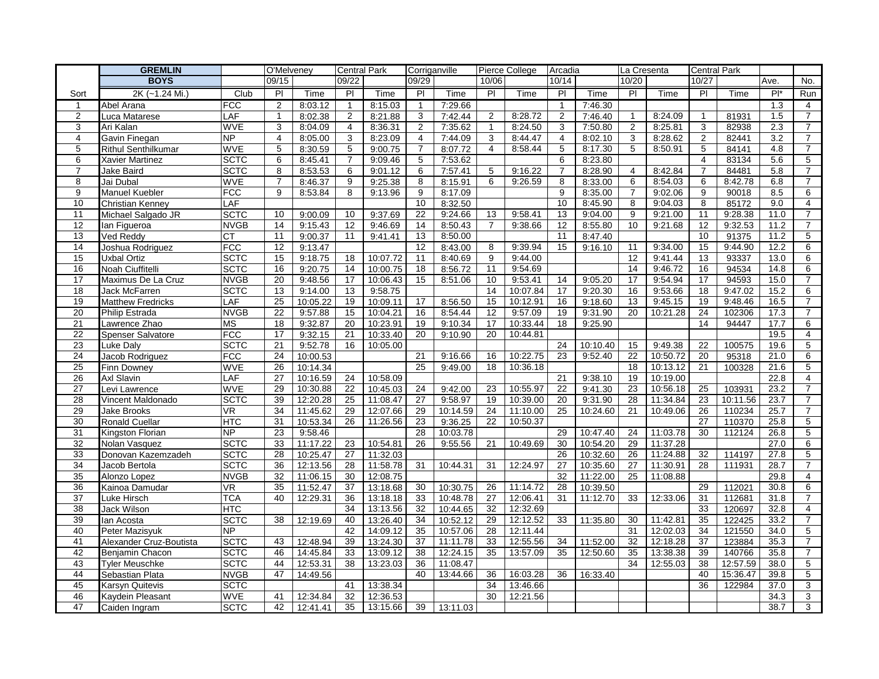|                 | <b>GREMLIN</b>             |                 | O'Melveney     |          | <b>Central Park</b> |          | Corriganville  |          |                | Pierce College | Arcadia        |          | La Cresenta    |          | <b>Central Park</b> |          |        |                |
|-----------------|----------------------------|-----------------|----------------|----------|---------------------|----------|----------------|----------|----------------|----------------|----------------|----------|----------------|----------|---------------------|----------|--------|----------------|
|                 | <b>BOYS</b>                |                 | 09/15          |          | 09/22               |          | 09/29          |          | 10/06          |                | 10/14          |          | 10/20          |          | 10/27               |          | Ave.   | No.            |
| Sort            | 2K (~1.24 Mi.)             | Club            | PI             | Time     | PI                  | Time     | PI             | Time     | P              | Time           | P              | Time     | PI             | Time     | PI                  | Time     | $Pl^*$ | Run            |
| $\mathbf{1}$    | Abel Arana                 | <b>FCC</b>      | $\overline{2}$ | 8:03.12  | $\overline{1}$      | 8:15.03  | $\overline{1}$ | 7:29.66  |                |                | $\overline{1}$ | 7:46.30  |                |          |                     |          | 1.3    | $\overline{4}$ |
| 2               | Luca Matarese              | LAF             | $\mathbf{1}$   | 8:02.38  | $\overline{2}$      | 8:21.88  | 3              | 7:42.44  | 2              | 8:28.72        | $\overline{2}$ | 7:46.40  | $\mathbf{1}$   | 8:24.09  | $\mathbf{1}$        | 81931    | 1.5    | $\overline{7}$ |
| 3               | Ari Kalan                  | <b>WVE</b>      | 3              | 8:04.09  | 4                   | 8:36.31  | 2              | 7:35.62  | $\overline{1}$ | 8:24.50        | 3              | 7:50.80  | 2              | 8:25.81  | 3                   | 82938    | 2.3    | $\overline{7}$ |
| $\overline{4}$  | Gavin Finegan              | <b>NP</b>       | 4              | 8:05.00  | 3                   | 8:23.09  | 4              | 7:44.09  | 3              | 8:44.47        | $\overline{4}$ | 8:02.10  | 3              | 8:28.62  | 2                   | 82441    | 3.2    | $\overline{7}$ |
| 5               | <b>Rithul Senthilkumar</b> | <b>WVE</b>      | 5              | 8:30.59  | 5                   | 9:00.75  | $\overline{7}$ | 8:07.72  | $\overline{4}$ | 8:58.44        | 5              | 8:17.30  | 5              | 8:50.91  | 5                   | 84141    | 4.8    | $\overline{7}$ |
| 6               | Xavier Martinez            | <b>SCTC</b>     | 6              | 8:45.41  | $\overline{7}$      | 9:09.46  | 5              | 7:53.62  |                |                | 6              | 8:23.80  |                |          | $\overline{4}$      | 83134    | 5.6    | $\overline{5}$ |
| $\overline{7}$  | Jake Baird                 | <b>SCTC</b>     | 8              | 8:53.53  | 6                   | 9:01.12  | 6              | 7:57.41  | 5              | 9:16.22        | $\overline{7}$ | 8:28.90  | $\overline{4}$ | 8:42.84  | $\overline{7}$      | 84481    | 5.8    | $\overline{7}$ |
| 8               | Jai Dubal                  | <b>WVE</b>      | 7              | 8:46.37  | 9                   | 9:25.38  | 8              | 8:15.91  | 6              | 9:26.59        | 8              | 8:33.00  | 6              | 8:54.03  | 6                   | 8:42.78  | 6.8    | $\overline{7}$ |
| 9               | <b>Manuel Kuebler</b>      | <b>FCC</b>      | 9              | 8:53.84  | 8                   | 9:13.96  | 9              | 8:17.09  |                |                | 9              | 8:35.00  | $\overline{7}$ | 9:02.06  | 9                   | 90018    | 8.5    | 6              |
| 10              | <b>Christian Kenney</b>    | LAF             |                |          |                     |          | 10             | 8:32.50  |                |                | 10             | 8:45.90  | 8              | 9:04.03  | 8                   | 85172    | 9.0    | 4              |
| 11              | Michael Salgado JR         | <b>SCTC</b>     | 10             | 9:00.09  | 10                  | 9:37.69  | 22             | 9:24.66  | 13             | 9:58.41        | 13             | 9:04.00  | 9              | 9:21.00  | 11                  | 9:28.38  | 11.0   | $\overline{7}$ |
| 12              | lan Figueroa               | <b>NVGB</b>     | 14             | 9:15.43  | 12                  | 9:46.69  | 14             | 8:50.43  | $\overline{7}$ | 9:38.66        | 12             | 8:55.80  | 10             | 9:21.68  | 12                  | 9:32.53  | 11.2   | 7              |
| 13              | Ved Reddy                  | <b>CT</b>       | 11             | 9:00.37  | 11                  | 9:41.41  | 13             | 8:50.00  |                |                | 11             | 8:47.40  |                |          | 10                  | 91375    | 11.2   | 5              |
| 14              | Joshua Rodriguez           | <b>FCC</b>      | 12             | 9:13.47  |                     |          | 12             | 8:43.00  | 8              | 9:39.94        | 15             | 9:16.10  | 11             | 9:34.00  | 15                  | 9:44.90  | 12.2   | 6              |
| 15              | Uxbal Ortiz                | <b>SCTC</b>     | 15             | 9:18.75  | 18                  | 10:07.72 | 11             | 8:40.69  | 9              | 9:44.00        |                |          | 12             | 9:41.44  | 13                  | 93337    | 13.0   | 6              |
| 16              | Noah Ciuffitelli           | <b>SCTC</b>     | 16             | 9:20.75  | 14                  | 10:00.75 | 18             | 8:56.72  | 11             | 9:54.69        |                |          | 14             | 9:46.72  | 16                  | 94534    | 14.8   | 6              |
| 17              | Maximus De La Cruz         | <b>NVGB</b>     | 20             | 9:48.56  | 17                  | 10:06.43 | 15             | 8:51.06  | 10             | 9:53.41        | 14             | 9:05.20  | 17             | 9:54.94  | 17                  | 94593    | 15.0   | $\overline{7}$ |
| 18              | <b>Jack McFarren</b>       | <b>SCTC</b>     | 13             | 9:14.00  | 13                  | 9:58.75  |                |          | 14             | 10:07.84       | 17             | 9:20.30  | 16             | 9:53.66  | 18                  | 9:47.02  | 15.2   | 6              |
| 19              | <b>Matthew Fredricks</b>   | LAF             | 25             | 10:05.22 | 19                  | 10:09.11 | 17             | 8:56.50  | 15             | 10:12.91       | 16             | 9:18.60  | 13             | 9:45.15  | 19                  | 9:48.46  | 16.5   | $\overline{7}$ |
| 20              | Philip Estrada             | <b>NVGB</b>     | 22             | 9:57.88  | 15                  | 10:04.21 | 16             | 8:54.44  | 12             | 9:57.09        | 19             | 9:31.90  | 20             | 10:21.28 | 24                  | 102306   | 17.3   | $\overline{7}$ |
| $\overline{21}$ | Lawrence Zhao              | <b>MS</b>       | 18             | 9:32.87  | 20                  | 10:23.91 | 19             | 9:10.34  | 17             | 10:33.44       | 18             | 9:25.90  |                |          | 14                  | 94447    | 17.7   | 6              |
| 22              | Spenser Salvatore          | <b>FCC</b>      | 17             | 9:32.15  | 21                  | 10:33.40 | 20             | 9:10.90  | 20             | 10:44.81       |                |          |                |          |                     |          | 19.5   | $\overline{4}$ |
| 23              | <b>Luke Dalv</b>           | <b>SCTC</b>     | 21             | 9:52.78  | 16                  | 10:05.00 |                |          |                |                | 24             | 10:10.40 | 15             | 9:49.38  | 22                  | 100575   | 19.6   | 5              |
| 24              | Jacob Rodriguez            | <b>FCC</b>      | 24             | 10:00.53 |                     |          | 21             | 9:16.66  | 16             | 10:22.75       | 23             | 9:52.40  | 22             | 10:50.72 | 20                  | 95318    | 21.0   | 6              |
| 25              | Finn Downey                | <b>WVE</b>      | 26             | 10:14.34 |                     |          | 25             | 9:49.00  | 18             | 10:36.18       |                |          | 18             | 10:13.12 | 21                  | 100328   | 21.6   | 5              |
| 26              | Axl Slavin                 | LAF             | 27             | 10:16.59 | 24                  | 10:58.09 |                |          |                |                | 21             | 9:38.10  | 19             | 10:19.00 |                     |          | 22.8   | $\overline{4}$ |
| $\overline{27}$ | Levi Lawrence              | <b>WVE</b>      | 29             | 10:30.88 | 22                  | 10:45.03 | 24             | 9:42.00  | 23             | 10:55.97       | 22             | 9:41.30  | 23             | 10:56.18 | 25                  | 103931   | 23.2   | $\overline{7}$ |
| 28              | Vincent Maldonado          | <b>SCTC</b>     | 39             | 12:20.28 | 25                  | 11:08.47 | 27             | 9:58.97  | 19             | 10:39.00       | 20             | 9:31.90  | 28             | 11:34.84 | 23                  | 10:11.56 | 23.7   | $\overline{7}$ |
| 29              | Jake Brooks                | VR              | 34             | 11:45.62 | 29                  | 12:07.66 | 29             | 10:14.59 | 24             | 11:10.00       | 25             | 10:24.60 | 21             | 10:49.06 | 26                  | 110234   | 25.7   | $\overline{7}$ |
| 30              | <b>Ronald Cuellar</b>      | <b>HTC</b>      | 31             | 10:53.34 | 26                  | 11:26.56 | 23             | 9:36.25  | 22             | 10:50.37       |                |          |                |          | 27                  | 110370   | 25.8   | 5              |
| 31              | Kingston Florian           | $\overline{NP}$ | 23             | 9:58.46  |                     |          | 28             | 10:03.78 |                |                | 29             | 10:47.40 | 24             | 11:03.78 | 30                  | 112124   | 26.8   | 5              |
| 32              | Nolan Vasquez              | <b>SCTC</b>     | 33             | 11:17.22 | 23                  | 10:54.81 | 26             | 9:55.56  | 21             | 10:49.69       | 30             | 10:54.20 | 29             | 11:37.28 |                     |          | 27.0   | 6              |
| 33              | Donovan Kazemzadeh         | <b>SCTC</b>     | 28             | 10:25.47 | 27                  | 11:32.03 |                |          |                |                | 26             | 10:32.60 | 26             | 11:24.88 | 32                  | 114197   | 27.8   | 5              |
| 34              | Jacob Bertola              | <b>SCTC</b>     | 36             | 12:13.56 | 28                  | 11:58.78 | 31             | 10:44.31 | 31             | 12:24.97       | 27             | 10:35.60 | 27             | 11:30.91 | 28                  | 111931   | 28.7   | $\overline{7}$ |
| 35              | Alonzo Lopez               | <b>NVGB</b>     | 32             | 11:06.15 | 30                  | 12:08.75 |                |          |                |                | 32             | 11:22.00 | 25             | 11:08.88 |                     |          | 29.8   | 4              |
| 36              | Kainoa Damudar             | VR.             | 35             | 11:52.47 | 37                  | 13:18.68 | 30             | 10:30.75 | 26             | 11:14.72       | 28             | 10:39.50 |                |          | 29                  | 112021   | 30.8   | 6              |
| $\overline{37}$ | Luke Hirsch                | <b>TCA</b>      | 40             | 12:29.31 | 36                  | 13:18.18 | 33             | 10:48.78 | 27             | 12:06.41       | 31             | 11:12.70 | 33             | 12:33.06 | 31                  | 112681   | 31.8   | $\overline{7}$ |
| $\overline{38}$ | Jack Wilson                | <b>HTC</b>      |                |          | 34                  | 13:13.56 | 32             | 10:44.65 | 32             | 12:32.69       |                |          |                |          | 33                  | 120697   | 32.8   | $\overline{4}$ |
| 39              | lan Acosta                 | <b>SCTC</b>     | 38             | 12:19.69 | 40                  | 13:26.40 | 34             | 10:52.12 | 29             | 12:12.52       | 33             | 11:35.80 | 30             | 11:42.81 | 35                  | 122425   | 33.2   | 7              |
| 40              | Peter Mazisyuk             | <b>NP</b>       |                |          | 42                  | 14:09.12 | 35             | 10:57.06 | 28             | 12:11.44       |                |          | 31             | 12:02.03 | 34                  | 121550   | 34.0   | 5              |
| 41              | Alexander Cruz-Boutista    | <b>SCTC</b>     | 43             | 12:48.94 | 39                  | 13:24.30 | 37             | 11:11.78 | 33             | 12:55.56       | 34             | 11:52.00 | 32             | 12:18.28 | 37                  | 123884   | 35.3   | $\overline{7}$ |
| 42              | Benjamin Chacon            | <b>SCTC</b>     | 46             | 14:45.84 | 33                  | 13:09.12 | 38             | 12:24.15 | 35             | 13:57.09       | 35             | 12:50.60 | 35             | 13:38.38 | 39                  | 140766   | 35.8   | $\overline{7}$ |
| 43              | <b>Tyler Meuschke</b>      | <b>SCTC</b>     | 44             | 12:53.31 | 38                  | 13:23.03 | 36             | 11:08.47 |                |                |                |          | 34             | 12:55.03 | 38                  | 12:57.59 | 38.0   | 5              |
| 44              | Sebastian Plata            | <b>NVGB</b>     | 47             | 14:49.56 |                     |          | 40             | 13:44.66 | 36             | 16:03.28       | 36             | 16:33.40 |                |          | 40                  | 15:36.47 | 39.8   | 5              |
| 45              | Karsyn Quitevis            | <b>SCTC</b>     |                |          | 41                  | 13:38.34 |                |          | 34             | 13:46.66       |                |          |                |          | 36                  | 122984   | 37.0   | 3              |
| 46              | Kaydein Pleasant           | <b>WVE</b>      | 41             | 12:34.84 | 32                  | 12:36.53 |                |          | 30             | 12:21.56       |                |          |                |          |                     |          | 34.3   | 3              |
| 47              | Caiden Ingram              | <b>SCTC</b>     | 42             | 12:41.41 | 35                  | 13:15.66 | 39             | 13:11.03 |                |                |                |          |                |          |                     |          | 38.7   | 3              |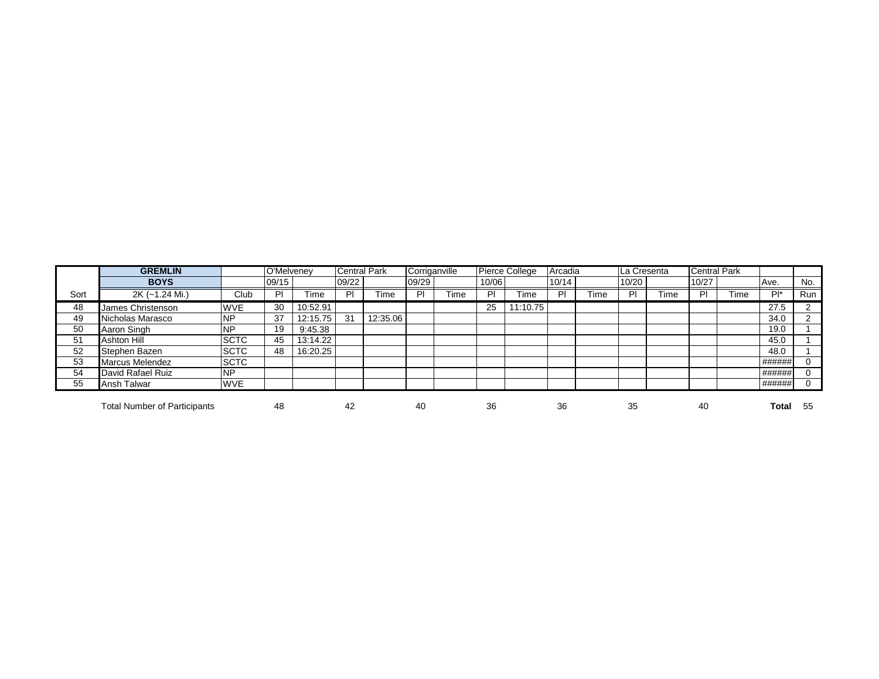|      | <b>GREMLIN</b>                      |              | O'Melveney |          | <b>Central Park</b> |          | Corriganville |      |       | Pierce College | Arcadia |             | La Cresenta |      | <b>Central Park</b> |      |        |            |
|------|-------------------------------------|--------------|------------|----------|---------------------|----------|---------------|------|-------|----------------|---------|-------------|-------------|------|---------------------|------|--------|------------|
|      | <b>BOYS</b>                         |              | 09/15      |          | 09/22               |          | 09/29         |      | 10/06 |                | 10/14   |             | 10/20       |      | 10/27               |      | Ave.   | No.        |
| Sort | 2K (~1.24 Mi.)                      | Club         | D          | Time     | PI                  | -ime     | PI            | Time | PI    | Time           | PI      | <b>Time</b> | PI          | Time | D                   | Time | $Pl^*$ | <b>Run</b> |
| 48   | James Christenson                   | <b>WVE</b>   | 30         | 10:52.91 |                     |          |               |      | 25    | 11:10.75       |         |             |             |      |                     |      | 27.5   |            |
| 49   | Nicholas Marasco                    | <b>NP</b>    | 37         | 12:15.75 | 31                  | 12:35.06 |               |      |       |                |         |             |             |      |                     |      | 34.0   | ົ          |
| 50   | Aaron Singh                         | <b>NP</b>    | 19         | 9:45.38  |                     |          |               |      |       |                |         |             |             |      |                     |      | 19.0   |            |
| 51   | Ashton Hill                         | <b>SCTC</b>  | 45         | 13:14.22 |                     |          |               |      |       |                |         |             |             |      |                     |      | 45.0   |            |
| 52   | Stephen Bazen                       | <b>ISCTC</b> | 48         | 16:20.25 |                     |          |               |      |       |                |         |             |             |      |                     |      | 48.0   |            |
| 53   | <b>Marcus Melendez</b>              | <b>SCTC</b>  |            |          |                     |          |               |      |       |                |         |             |             |      |                     |      | ###### |            |
| 54   | David Rafael Ruiz                   | <b>NP</b>    |            |          |                     |          |               |      |       |                |         |             |             |      |                     |      | ###### |            |
| 55   | Ansh Talwar                         | <b>WVE</b>   |            |          |                     |          |               |      |       |                |         |             |             |      |                     |      | ###### |            |
|      |                                     |              |            |          |                     |          |               |      |       |                |         |             |             |      |                     |      |        |            |
|      | <b>Total Number of Participants</b> |              | 48         |          | 42                  |          | 40            |      | 36    |                | 36      |             | 35          |      | 40                  |      | Total  | -55        |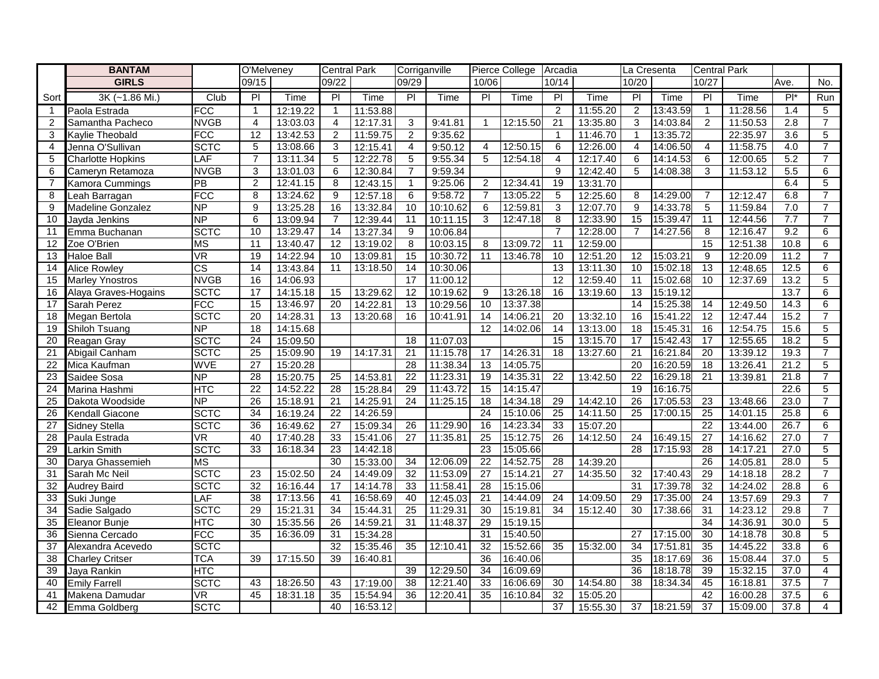|                 | <b>BANTAM</b>            |                        | O'Melveney      |          | <b>Central Park</b> |          | Corriganville   |          |                 | Pierce College Arcadia |                 |          | La Cresenta     |          | <b>Central Park</b> |          |                  |                |
|-----------------|--------------------------|------------------------|-----------------|----------|---------------------|----------|-----------------|----------|-----------------|------------------------|-----------------|----------|-----------------|----------|---------------------|----------|------------------|----------------|
|                 | <b>GIRLS</b>             |                        | 09/15           |          | 09/22               |          | 09/29           |          | 10/06           |                        | 10/14           |          | 10/20           |          | 10/27               |          | Ave.             | No.            |
| Sort            | 3K (~1.86 Mi.)           | Club                   | PI              | Time     | P                   | Time     | $\overline{P}$  | Time     | $\overline{P}$  | Time                   | $\overline{P}$  | Time     | P               | Time     | $\overline{P}$      | Time     | $P^*$            | Run            |
| $\mathbf{1}$    | Paola Estrada            | <b>FCC</b>             | $\overline{1}$  | 12:19.22 | $\overline{1}$      | 11:53.88 |                 |          |                 |                        | 2               | 11:55.20 | 2               | 13:43.59 | $\mathbf{1}$        | 11:28.56 | 1.4              | 5              |
| 2               | Samantha Pacheco         | <b>NVGB</b>            | $\overline{4}$  | 13:03.03 | $\overline{4}$      | 12:17.31 | 3               | 9:41.81  | $\mathbf 1$     | 12:15.50               | 21              | 13:35.80 | 3               | 14:03.84 | 2                   | 11:50.53 | 2.8              | $\overline{7}$ |
| 3               | Kaylie Theobald          | <b>FCC</b>             | 12              | 13:42.53 | $\overline{2}$      | 11:59.75 | 2               | 9:35.62  |                 |                        | $\overline{1}$  | 11:46.70 | $\overline{1}$  | 13:35.72 |                     | 22:35.97 | $\overline{3.6}$ | 5              |
| 4               | Jenna O'Sullivan         | <b>SCTC</b>            | 5               | 13:08.66 | 3                   | 12:15.41 | 4               | 9:50.12  | 4               | 12:50.15               | 6               | 12:26.00 | 4               | 14:06.50 | $\overline{4}$      | 11:58.75 | 4.0              | $\overline{7}$ |
| 5               | <b>Charlotte Hopkins</b> | LAF                    | $\overline{7}$  | 13:11.34 | 5                   | 12:22.78 | 5               | 9:55.34  | 5               | 12:54.18               | $\overline{4}$  | 12:17.40 | 6               | 14:14.53 | 6                   | 12:00.65 | 5.2              | $\overline{7}$ |
| 6               | Cameryn Retamoza         | <b>NVGB</b>            | 3               | 13:01.03 | 6                   | 12:30.84 | $\overline{7}$  | 9:59.34  |                 |                        | 9               | 12:42.40 | 5               | 14:08.38 | 3                   | 11:53.12 | 5.5              | 6              |
| $\overline{7}$  | Kamora Cummings          | $\overline{PB}$        | 2               | 12:41.15 | 8                   | 12:43.15 | -1              | 9:25.06  | 2               | 12:34.41               | 19              | 13:31.70 |                 |          |                     |          | 6.4              | 5              |
| 8               | Leah Barragan            | <b>FCC</b>             | 8               | 13:24.62 | 9                   | 12:57.18 | 6               | 9:58.72  | $\overline{7}$  | 13:05.22               | 5               | 12:25.60 | 8               | 14:29.00 | $\overline{7}$      | 12:12.47 | 6.8              | $\overline{7}$ |
| 9               | Madeline Gonzalez        | NP                     | 9               | 13:25.28 | 16                  | 13:32.84 | 10              | 10:10.62 | 6               | 12:59.81               | 3               | 12:07.70 | 9               | 14:33.78 | 5                   | 11:59.84 | 7.0              | $\overline{7}$ |
| 10              | Jayda Jenkins            | NP                     | 6               | 13:09.94 | $\overline{7}$      | 12:39.44 | 11              | 10:11.15 | 3               | 12:47.18               | 8               | 12:33.90 | 15              | 15:39.47 | 11                  | 12:44.56 | 7.7              | $\overline{7}$ |
| 11              | Emma Buchanan            | <b>SCTC</b>            | 10              | 13:29.47 | 14                  | 13:27.34 | 9               | 10:06.84 |                 |                        | $\overline{7}$  | 12:28.00 | $\overline{7}$  | 14:27.56 | 8                   | 12:16.47 | 9.2              | 6              |
| 12              | Zoe O'Brien              | <b>MS</b>              | $\overline{11}$ | 13:40.47 | 12                  | 13:19.02 | 8               | 10:03.15 | 8               | 13:09.72               | $\overline{11}$ | 12:59.00 |                 |          | 15                  | 12:51.38 | 10.8             | 6              |
| 13              | <b>Haloe Ball</b>        | <b>VR</b>              | $\overline{19}$ | 14:22.94 | 10                  | 13:09.81 | 15              | 10:30.72 | 11              | 13:46.78               | 10              | 12:51.20 | $\overline{12}$ | 15:03.21 | 9                   | 12:20.09 | 11.2             | $\overline{7}$ |
| 14              | <b>Alice Rowley</b>      | $\overline{\text{cs}}$ | $\overline{14}$ | 13:43.84 | 11                  | 13:18.50 | 14              | 10:30.06 |                 |                        | $\overline{13}$ | 13:11.30 | 10              | 15:02.18 | $\overline{13}$     | 12:48.65 | 12.5             | 6              |
| 15              | <b>Marley Ynostros</b>   | <b>NVGB</b>            | 16              | 14:06.93 |                     |          | 17              | 11:00.12 |                 |                        | 12              | 12:59.40 | 11              | 15:02.68 | 10                  | 12:37.69 | 13.2             | 5              |
| 16              | Alaya Graves-Hogains     | <b>SCTC</b>            | 17              | 14:15.18 | 15                  | 13:29.62 | 12              | 10:19.62 | 9               | 13:26.18               | 16              | 13:19.60 | 13              | 15:19.12 |                     |          | 13.7             | $6\phantom{1}$ |
| 17              | Sarah Perez              | <b>FCC</b>             | 15              | 13:46.97 | 20                  | 14:22.81 | 13              | 10:29.56 | 10              | 13:37.38               |                 |          | 14              | 15:25.38 | 14                  | 12:49.50 | 14.3             | 6              |
| 18              | Megan Bertola            | <b>SCTC</b>            | 20              | 14:28.31 | 13                  | 13:20.68 | 16              | 10:41.91 | 14              | 14:06.21               | 20              | 13:32.10 | 16              | 15:41.22 | 12                  | 12:47.44 | 15.2             | $\overline{7}$ |
| $\overline{19}$ | Shiloh Tsuang            | NP                     | 18              | 14:15.68 |                     |          |                 |          | 12              | 14:02.06               | 14              | 13:13.00 | 18              | 15:45.31 | 16                  | 12:54.75 | 15.6             | $\overline{5}$ |
| $\overline{20}$ | Reagan Gray              | <b>SCTC</b>            | 24              | 15:09.50 |                     |          | 18              | 11:07.03 |                 |                        | 15              | 13:15.70 | 17              | 15:42.43 | 17                  | 12:55.65 | 18.2             | 5              |
| $\overline{21}$ | Abigail Canham           | <b>SCTC</b>            | $\overline{25}$ | 15:09.90 | 19                  | 14:17.31 | $\overline{21}$ | 11:15.78 | 17              | 14:26.31               | $\overline{18}$ | 13:27.60 | 21              | 16:21.84 | 20                  | 13:39.12 | 19.3             | $\overline{7}$ |
| 22              | Mica Kaufman             | <b>WVE</b>             | $\overline{27}$ | 15:20.28 |                     |          | 28              | 11:38.34 | 13              | 14:05.75               |                 |          | 20              | 16:20.59 | 18                  | 13:26.41 | 21.2             | 5              |
| $\overline{23}$ | Saidee Sosa              | NP                     | $\overline{28}$ | 15:20.75 | 25                  | 14:53.81 | $\overline{22}$ | 11:23.31 | $\overline{19}$ | 14:35.31               | $\overline{22}$ | 13:42.50 | $\overline{22}$ | 16:29.18 | 21                  | 13:39.81 | 21.8             | $\overline{7}$ |
| 24              | Marina Hashmi            | <b>HTC</b>             | $\overline{22}$ | 14:52.22 | $\overline{28}$     | 15:28.84 | 29              | 11:43.72 | 15              | 14:15.47               |                 |          | 19              | 16:16.75 |                     |          | 22.6             | 5              |
| 25              | Dakota Woodside          | $\overline{\sf NP}$    | 26              | 15:18.91 | 21                  | 14:25.91 | 24              | 11:25.15 | 18              | 14:34.18               | 29              | 14:42.10 | 26              | 17:05.53 | 23                  | 13:48.66 | 23.0             | $\overline{7}$ |
| $\overline{26}$ | <b>Kendall Giacone</b>   | <b>SCTC</b>            | 34              | 16:19.24 | 22                  | 14:26.59 |                 |          | 24              | 15:10.06               | 25              | 14:11.50 | 25              | 17:00.15 | 25                  | 14:01.15 | 25.8             | 6              |
| 27              | Sidney Stella            | <b>SCTC</b>            | 36              | 16:49.62 | $\overline{27}$     | 15:09.34 | 26              | 11:29.90 | 16              | 14:23.34               | 33              | 15:07.20 |                 |          | 22                  | 13:44.00 | 26.7             | $\,6$          |
| $\overline{28}$ | Paula Estrada            | VR.                    | 40              | 17:40.28 | 33                  | 15:41.06 | $\overline{27}$ | 11:35.81 | 25              | 15:12.75               | 26              | 14:12.50 | 24              | 16:49.15 | $\overline{27}$     | 14:16.62 | 27.0             | $\overline{7}$ |
| 29              | Larkin Smith             | <b>SCTC</b>            | 33              | 16:18.34 | 23                  | 14:42.18 |                 |          | 23              | 15:05.66               |                 |          | 28              | 17:15.93 | 28                  | 14:17.21 | 27.0             | 5              |
| $\overline{30}$ | Darya Ghassemieh         | $\overline{\text{MS}}$ |                 |          | 30                  | 15:33.00 | $\overline{34}$ | 12:06.09 | 22              | 14:52.75               | $\overline{28}$ | 14:39.20 |                 |          | 26                  | 14:05.81 | 28.0             | $\overline{5}$ |
| $\overline{31}$ | Sarah Mc Neil            | <b>SCTC</b>            | $\overline{23}$ | 15:02.50 | 24                  | 14:49.09 | 32              | 11:53.09 | 27              | 15:14.21               | 27              | 14:35.50 | 32              | 17:40.43 | 29                  | 14:18.18 | 28.2             | $\overline{7}$ |
| $\overline{32}$ | <b>Audrey Baird</b>      | <b>SCTC</b>            | 32              | 16:16.44 | 17                  | 14:14.78 | $\overline{33}$ | 11:58.41 | 28              | 15:15.06               |                 |          | 31              | 17:39.78 | 32                  | 14:24.02 | 28.8             | 6              |
| 33              | Suki Junge               | LAF                    | 38              | 17:13.56 | 41                  | 16:58.69 | 40              | 12:45.03 | 21              | 14:44.09               | 24              | 14:09.50 | 29              | 17:35.00 | 24                  | 13:57.69 | 29.3             | $\overline{7}$ |
| 34              | Sadie Salgado            | <b>SCTC</b>            | 29              | 15:21.31 | 34                  | 15:44.31 | 25              | 11:29.31 | 30              | 15:19.81               | 34              | 15:12.40 | 30              | 17:38.66 | 31                  | 14:23.12 | 29.8             | $\overline{7}$ |
| 35              | Eleanor Bunje            | <b>HTC</b>             | $\overline{30}$ | 15:35.56 | 26                  | 14:59.21 | $\overline{31}$ | 11:48.37 | 29              | 15:19.15               |                 |          |                 |          | 34                  | 14:36.91 | 30.0             | 5              |
| 36              | Sienna Cercado           | <b>FCC</b>             | $\overline{35}$ | 16:36.09 | 31                  | 15:34.28 |                 |          | 31              | 15:40.50               |                 |          | 27              | 17:15.00 | 30                  | 14:18.78 | 30.8             | 5              |
| $\overline{37}$ | Alexandra Acevedo        | <b>SCTC</b>            |                 |          | 32                  | 15:35.46 | 35              | 12:10.41 | 32              | 15:52.66               | 35              | 15:32.00 | 34              | 17:51.81 | 35                  | 14:45.22 | 33.8             | 6              |
| 38              | <b>Charley Critser</b>   | <b>TCA</b>             | 39              | 17:15.50 | 39                  | 16:40.81 |                 |          | 36              | 16:40.06               |                 |          | 35              | 18:17.69 | 36                  | 15:08.44 | 37.0             | 5              |
| 39              | Jaya Rankin              | <b>HTC</b>             |                 |          |                     |          | 39              | 12:29.50 | 34              | 16:09.69               |                 |          | 36              | 18:18.78 | 39                  | 15:32.15 | 37.0             | $\overline{4}$ |
| 40              | <b>Emily Farrell</b>     | <b>SCTC</b>            | 43              | 18:26.50 | 43                  | 17:19.00 | 38              | 12:21.40 | 33              | 16:06.69               | 30              | 14:54.80 | 38              | 18:34.34 | 45                  | 16:18.81 | 37.5             | $\overline{7}$ |
| 41              | Makena Damudar           | VR                     | 45              | 18:31.18 | 35                  | 15:54.94 | 36              | 12:20.41 | 35              | 16:10.84               | 32              | 15:05.20 |                 |          | 42                  | 16:00.28 | 37.5             | 6              |
| 42              | Emma Goldberg            | <b>SCTC</b>            |                 |          | 40                  | 16:53.12 |                 |          |                 |                        | 37              | 15:55.30 | 37              | 18:21.59 | $\overline{37}$     | 15:09.00 | 37.8             | 4              |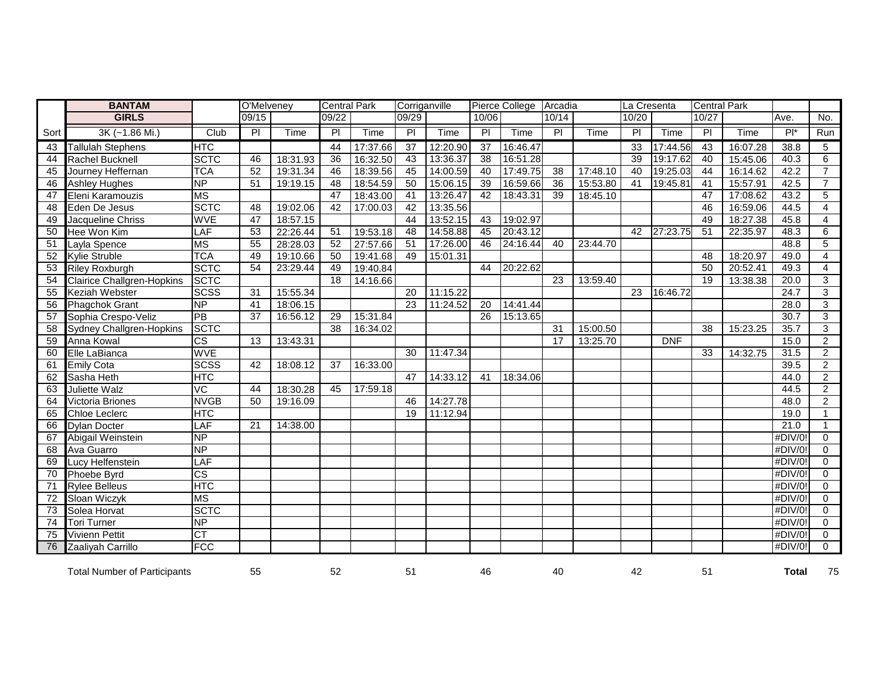|      | <b>BANTAM</b>                       |                          | O'Melveney      |          | <b>Central Park</b> |          | Corriganville   |          |                 | Pierce College Arcadia |                |          | La Cresenta    |             | <b>Central Park</b> |          |                   |                |
|------|-------------------------------------|--------------------------|-----------------|----------|---------------------|----------|-----------------|----------|-----------------|------------------------|----------------|----------|----------------|-------------|---------------------|----------|-------------------|----------------|
|      | <b>GIRLS</b>                        |                          | 09/15           |          | 09/22               |          | 09/29           |          | 10/06           |                        | 10/14          |          | 10/20          |             | 10/27               |          | Ave.              | No.            |
| Sort | 3K (~1.86 Mi.)                      | Club                     | $\overline{P}$  | Time     | $\overline{P}$      | Time     | $\overline{P}$  | Time     | $\overline{P}$  | Time                   | $\overline{P}$ | Time     | $\overline{P}$ | <b>Time</b> | $\overline{P}$      | Time     | $P^*$             | Run            |
| 43   | <b>Tallulah Stephens</b>            | <b>HTC</b>               |                 |          | 44                  | 17:37.66 | $\overline{37}$ | 12:20.90 | $\overline{37}$ | 16:46.47               |                |          | 33             | 17:44.56    | 43                  | 16:07.28 | 38.8              | 5              |
| 44   | Rachel Bucknell                     | <b>SCTC</b>              | 46              | 18:31.93 | $\overline{36}$     | 16:32.50 | 43              | 13:36.37 | 38              | 16:51.28               |                |          | 39             | 19:17.62    | 40                  | 15:45.06 | 40.3              | 6              |
| 45   | Journey Heffernan                   | <b>TCA</b>               | 52              | 19:31.34 | 46                  | 18:39.56 | 45              | 14:00.59 | 40              | 17:49.75               | 38             | 17:48.10 | 40             | 19:25.03    | 44                  | 16:14.62 | 42.2              | $\overline{7}$ |
| 46   | <b>Ashley Hughes</b>                | <b>NP</b>                | 51              | 19:19.15 | 48                  | 18:54.59 | 50              | 15:06.15 | $\overline{39}$ | 16:59.66               | 36             | 15:53.80 | 41             | 19:45.81    | 41                  | 15:57.91 | 42.5              | $\overline{7}$ |
| 47   | Eleni Karamouzis                    | <b>MS</b>                |                 |          | 47                  | 18:43.00 | 41              | 13:26.47 | 42              | 18:43.31               | 39             | 18:45.10 |                |             | 47                  | 17:08.62 | 43.2              | 5              |
| 48   | Eden De Jesus                       | <b>SCTC</b>              | 48              | 19:02.06 | 42                  | 17:00.03 | 42              | 13:35.56 |                 |                        |                |          |                |             | 46                  | 16:59.06 | 44.5              | $\overline{4}$ |
| 49   | Jacqueline Chriss                   | <b>WVE</b>               | 47              | 18:57.15 |                     |          | 44              | 13:52.15 | 43              | 19:02.97               |                |          |                |             | 49                  | 18:27.38 | 45.8              | 4              |
| 50   | Hee Won Kim                         | LAF                      | 53              | 22:26.44 | 51                  | 19:53.18 | 48              | 14:58.88 | 45              | 20:43.12               |                |          | 42             | 27:23.75    | 51                  | 22:35.97 | 48.3              | 6              |
| 51   | Layla Spence                        | <b>MS</b>                | 55              | 28:28.03 | 52                  | 27:57.66 | 51              | 17:26.00 | 46              | 24:16.44               | 40             | 23:44.70 |                |             |                     |          | 48.8              | 5              |
| 52   | <b>Kylie Struble</b>                | <b>TCA</b>               | 49              | 19:10.66 | 50                  | 19:41.68 | 49              | 15:01.31 |                 |                        |                |          |                |             | 48                  | 18:20.97 | 49.0              | $\overline{4}$ |
| 53   | <b>Riley Roxburgh</b>               | <b>SCTC</b>              | 54              | 23:29.44 | 49                  | 19:40.84 |                 |          | 44              | 20:22.62               |                |          |                |             | 50                  | 20:52.41 | 49.3              | $\overline{4}$ |
| 54   | <b>Clairice Challgren-Hopkins</b>   | <b>SCTC</b>              |                 |          | 18                  | 14:16.66 |                 |          |                 |                        | 23             | 13:59.40 |                |             | 19                  | 13:38.38 | 20.0              | 3              |
| 55   | <b>Keziah Webster</b>               | <b>SCSS</b>              | 31              | 15:55.34 |                     |          | 20              | 11:15.22 |                 |                        |                |          | 23             | 16:46.72    |                     |          | $\overline{24.7}$ | 3              |
| 56   | <b>Phagchok Grant</b>               | <b>NP</b>                | 41              | 18:06.15 |                     |          | 23              | 11:24.52 | 20              | 14:41.44               |                |          |                |             |                     |          | 28.0              | 3              |
| 57   | Sophia Crespo-Veliz                 | PB                       | $\overline{37}$ | 16:56.12 | 29                  | 15:31.84 |                 |          | 26              | 15:13.65               |                |          |                |             |                     |          | 30.7              | 3              |
| 58   | <b>Sydney Challgren-Hopkins</b>     | <b>SCTC</b>              |                 |          | 38                  | 16:34.02 |                 |          |                 |                        | 31             | 15:00.50 |                |             | $\overline{38}$     | 15:23.25 | 35.7              | 3              |
| 59   | Anna Kowal                          | $\overline{\text{cs}}$   | 13              | 13:43.31 |                     |          |                 |          |                 |                        | 17             | 13:25.70 |                | <b>DNF</b>  |                     |          | 15.0              | 2              |
| 60   | Elle LaBianca                       | <b>WVE</b>               |                 |          |                     |          | 30              | 11:47.34 |                 |                        |                |          |                |             | 33                  | 14:32.75 | 31.5              | $\overline{2}$ |
| 61   | <b>Emily Cota</b>                   | <b>SCSS</b>              | 42              | 18:08.12 | 37                  | 16:33.00 |                 |          |                 |                        |                |          |                |             |                     |          | 39.5              | $\overline{2}$ |
| 62   | Sasha Heth                          | <b>HTC</b>               |                 |          |                     |          | 47              | 14:33.12 | 41              | 18:34.06               |                |          |                |             |                     |          | 44.0              | $\overline{2}$ |
| 63   | Juliette Walz                       | $\overline{\text{VC}}$   | 44              | 18:30.28 | 45                  | 17:59.18 |                 |          |                 |                        |                |          |                |             |                     |          | 44.5              | $\overline{2}$ |
| 64   | Victoria Briones                    | <b>NVGB</b>              | 50              | 19:16.09 |                     |          | 46              | 14:27.78 |                 |                        |                |          |                |             |                     |          | 48.0              | $\overline{2}$ |
| 65   | <b>Chloe Leclerc</b>                | <b>HTC</b>               |                 |          |                     |          | 19              | 11:12.94 |                 |                        |                |          |                |             |                     |          | 19.0              | $\mathbf{1}$   |
| 66   | <b>Dylan Docter</b>                 | LAF                      | $\overline{21}$ | 14:38.00 |                     |          |                 |          |                 |                        |                |          |                |             |                     |          | 21.0              | $\mathbf{1}$   |
| 67   | Abigail Weinstein                   | $\overline{\mathsf{NP}}$ |                 |          |                     |          |                 |          |                 |                        |                |          |                |             |                     |          | #DIV/0!           | $\Omega$       |
| 68   | Ava Guarro                          | <b>NP</b>                |                 |          |                     |          |                 |          |                 |                        |                |          |                |             |                     |          | #DIV/0!           | $\Omega$       |
| 69   | Lucy Helfenstein                    | LAF                      |                 |          |                     |          |                 |          |                 |                        |                |          |                |             |                     |          | #DIV/0!           | $\mathbf 0$    |
| 70   | Phoebe Byrd                         | $\overline{\text{cs}}$   |                 |          |                     |          |                 |          |                 |                        |                |          |                |             |                     |          | #DIV/0!           | $\mathbf 0$    |
| 71   | <b>Rylee Belleus</b>                | <b>HTC</b>               |                 |          |                     |          |                 |          |                 |                        |                |          |                |             |                     |          | #DIV/0!           | $\Omega$       |
| 72   | Sloan Wiczyk                        | <b>MS</b>                |                 |          |                     |          |                 |          |                 |                        |                |          |                |             |                     |          | #DIV/0!           | $\Omega$       |
| 73   | Solea Horvat                        | <b>SCTC</b>              |                 |          |                     |          |                 |          |                 |                        |                |          |                |             |                     |          | #DIV/0!           | $\Omega$       |
| 74   | <b>Tori Turner</b>                  | <b>NP</b>                |                 |          |                     |          |                 |          |                 |                        |                |          |                |             |                     |          | #DIV/0!           | $\mathbf{0}$   |
| 75   | <b>Vivienn Pettit</b>               | CT                       |                 |          |                     |          |                 |          |                 |                        |                |          |                |             |                     |          | #DIV/0!           | $\mathbf 0$    |
| 76   | Zaaliyah Carrillo                   | <b>FCC</b>               |                 |          |                     |          |                 |          |                 |                        |                |          |                |             |                     |          | #DIV/0!           | $\Omega$       |
|      | <b>Total Number of Participants</b> |                          | 55              |          | 52                  |          | 51              |          | 46              |                        | 40             |          | 42             |             | 51                  |          | <b>Total</b>      | 75             |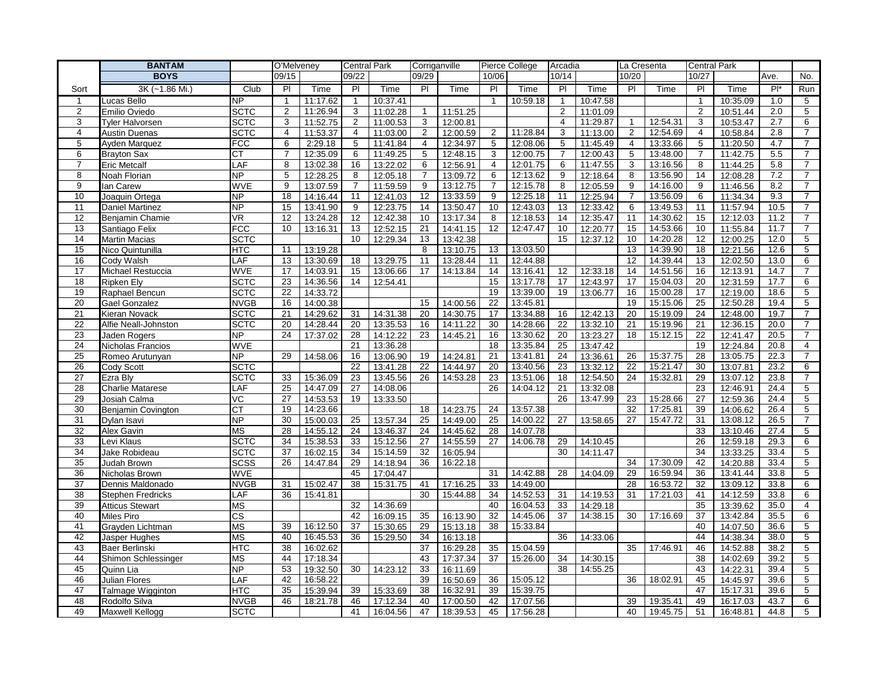|                       | <b>BANTAM</b>                           |                            | O'Melveney              |          | <b>Central Park</b> |                      | Corriganville  |                      |                 | Pierce College       | Arcadia        |                      | La Cresenta     |                      | Central Park   |                      |              |                     |
|-----------------------|-----------------------------------------|----------------------------|-------------------------|----------|---------------------|----------------------|----------------|----------------------|-----------------|----------------------|----------------|----------------------|-----------------|----------------------|----------------|----------------------|--------------|---------------------|
|                       | <b>BOYS</b>                             |                            | 09/15                   |          | 09/22               |                      | 09/29          |                      | 10/06           |                      | 10/14          |                      | 10/20           |                      | 10/27          |                      | Ave.         | No.                 |
| Sort                  | 3K (~1.86 Mi.)                          | Club                       | $\overline{P}$          | Time     | $\overline{P}$      | Time                 | $\overline{P}$ | Time                 | $\overline{P}$  | Time                 | $\overline{P}$ | Time                 | $\overline{P}$  | Time                 | $\overline{P}$ | Time                 | $P^*$        | Run                 |
| $\mathbf{1}$          | Lucas Bello                             | NP                         | 1                       | 11:17.62 | $\mathbf{1}$        | 10:37.41             |                |                      | -1              | 10:59.18             | -1             | 10:47.58             |                 |                      |                | 10:35.09             | 1.0          | $\overline{5}$      |
| 2                     | Emilio Oviedo                           | <b>SCTC</b>                | $\overline{2}$          | 11:26.94 | 3                   | 11:02.28             | $\mathbf{1}$   | 11:51.25             |                 |                      | 2              | 11:01.09             |                 |                      | 2              | 10:51.44             | 2.0          | 5                   |
| 3                     | <b>Tyler Halvorsen</b>                  | <b>SCTC</b>                | 3                       | 11:52.75 | $\overline{2}$      | 11:00.53             | 3              | 12:00.81             |                 |                      | $\overline{4}$ | 11:29.87             | $\mathbf{1}$    | 12:54.31             | 3              | 10:53.47             | 2.7          | 6                   |
| 4                     | <b>Austin Duenas</b>                    | <b>SCTC</b>                | $\overline{\mathbf{4}}$ | 11:53.37 | 4                   | 11:03.00             | $\overline{2}$ | 12:00.59             | $\overline{2}$  | 11:28.84             | 3              | 11:13.00             | 2               | 12:54.69             | $\overline{4}$ | 10:58.84             | 2.8          | $\overline{7}$      |
| 5                     | Ayden Marquez                           | <b>FCC</b>                 | 6                       | 2:29.18  | 5                   | 11:41.84             | 4              | 12:34.97             | 5               | 12:08.06             | 5              | 11:45.49             | 4               | 13:33.66             | 5              | 11:20.50             | 4.7          | $\overline{7}$      |
| 6                     | <b>Brayton Sax</b>                      | <b>CT</b>                  | $\overline{7}$          | 12:35.09 | 6                   | 11:49.25             | 5              | 12:48.15             | 3               | 12:00.75             | $\overline{7}$ | 12:00.43             | 5               | 13:48.00             | $\overline{7}$ | 11:42.75             | 5.5          | $\overline{7}$      |
| $\overline{7}$        | <b>Eric Metcalf</b>                     | LAF                        | 8                       | 13:02.38 | 16                  | 13:22.02             | 6              | 12:56.91             | 4               | 12:01.75             | 6              | 11:47.55             | 3               | 13:16.56             | 8              | 11:44.25             | 5.8          | $\overline{7}$      |
| 8                     | Noah Florian                            | <b>NP</b>                  | 5                       | 12:28.25 | 8                   | 12:05.18             | $\overline{7}$ | 13:09.72             | 6               | 12:13.62             | 9              | 12:18.64             | 8               | 13:56.90             | 14             | 12:08.28             | 7.2          | $\overline{7}$      |
| 9                     | lan Carew                               | <b>WVE</b>                 | 9                       | 13:07.59 | $\overline{7}$      | 11:59.59             | 9              | 13:12.75             | $\overline{7}$  | 12:15.78             | 8              | 12:05.59             | 9               | 14:16.00             | 9              | 11:46.56             | 8.2          | $\overline{7}$      |
| 10                    | Joaquin Ortega                          | <b>NP</b>                  | 18                      | 14:16.44 | 11                  | 12:41.03             | 12             | 13:33.59             | 9               | 12:25.18             | 11             | 12:25.94             | $\overline{7}$  | 13:56.09             | 6              | 11:34.34             | 9.3          | $\overline{7}$      |
| 11                    | Daniel Martinez                         | <b>NP</b>                  | 15                      | 13:41.90 | 9                   | 12:23.75             | 14             | 13:50.47             | 10              | 12:43.03             | 13             | 12:33.42             | 6               | 13:49.53             | 11             | 11:57.94             | 10.5         | $\overline{7}$      |
| 12                    | Benjamin Chamie                         | <b>VR</b>                  | 12                      | 13:24.28 | 12                  | 12:42.38             | 10             | 13:17.34             | 8               | 12:18.53             | 14             | 12:35.47             | 11              | 14:30.62             | 15             | 12:12.03             | 11.2         | $\overline{7}$      |
| 13                    | Santiago Felix                          | <b>FCC</b>                 | 10                      | 13:16.31 | 13                  | 12:52.15             | 21             | 14:41.15             | 12              | 12:47.47             | 10             | 12:20.77             | 15              | 14:53.66             | 10             | 11:55.84             | 11.7         | $\overline{7}$      |
| 14                    | <b>Martin Macias</b>                    | <b>SCTC</b>                |                         |          | 10                  | 12:29.34             | 13             | 13:42.38             |                 |                      | 15             | 12:37.12             | 10              | 14:20.28             | 12             | 12:00.25             | 12.0         | 5                   |
| 15                    | Nico Quintunilla                        | <b>HTC</b>                 | 11                      | 13:19.28 |                     |                      | 8              | 13:10.75             | 13              | 13:03.50             |                |                      | 13              | 14:39.90             | 18             | 12:21.56             | 12.6         | 5                   |
| 16                    | Cody Walsh                              | LAF                        | 13                      | 13:30.69 | 18                  | 13:29.75             | 11             | 13:28.44             | 11              | 12:44.88             |                |                      | 12              | 14:39.44             | 13             | 12:02.50             | 13.0         | 6                   |
| 17                    | Michael Restuccia                       | <b>WVE</b>                 | 17                      | 14:03.91 | 15                  | 13:06.66             | 17             | 14:13.84             | 14              | 13:16.41             | 12             | 12:33.18             | 14              | 14:51.56             | 16             | 12:13.91             | 14.7         | $\overline{7}$      |
| 18                    | <b>Ripken Ely</b>                       | <b>SCTC</b>                | 23                      | 14:36.56 | 14                  | 12:54.41             |                |                      | 15              | 13:17.78             | 17             | 12:43.97             | 17              | 15:04.03             | 20             | 12:31.59             | 17.7         | 6                   |
| 19                    | Raphael Bencun                          | <b>SCTC</b>                | 22                      | 14:33.72 |                     |                      |                |                      | 19              | 13:39.00             | 19             | 13:06.77             | 16              | 15:00.28             | 17             | 12:19.00             | 18.6         | 5                   |
| 20                    | <b>Gael Gonzalez</b>                    | <b>NVGB</b>                | 16                      | 14:00.38 |                     |                      | 15             | 14:00.56             | 22              | 13:45.81             |                |                      | 19              | 15:15.06             | 25             | 12:50.28             | 19.4         | 5                   |
| 21                    | Kieran Novack                           | <b>SCTC</b>                | 21                      | 14:29.62 | 31                  | 14:31.38             | 20             | 14:30.75             | 17              | 13:34.88             | 16             | 12:42.13             | 20              | 15:19.09             | 24             | 12:48.00             | 19.7         | $\overline{7}$      |
| 22                    | Alfie Neall-Johnston                    | <b>SCTC</b>                | 20                      | 14:28.44 | 20                  | 13:35.53             | 16             | 14:11.22             | 30              | 14:28.66             | 22             | 13:32.10             | 21              | 15:19.96             | 21             | 12:36.15             | 20.0         | $\overline{7}$      |
| 23                    | Jaden Rogers                            | <b>NP</b>                  | 24                      | 17:37.02 | 28                  | 14:12.22             | 23             | 14:45.21             | 16              | 13:30.62             | 20             | 13:23.27             | 18              | 15:12.15             | 22             | 12:41.47             | 20.5         | $\overline{7}$      |
| 24                    | Nicholas Francios                       | <b>WVE</b>                 | 29                      |          | 21                  | 13:36.28             |                |                      | 18              | 13:35.84             | 25             | 13:47.42             |                 |                      | 19<br>28       | 12:24.84             | 20.8         | $\overline{4}$      |
| 25                    | Romeo Arutunyan                         | <b>NP</b>                  |                         | 14:58.06 | 16                  | 13:06.90             | 19             | 14:24.81             | 21<br>20        | 13:41.81             | 24             | 13:36.61             | 26              | 15:37.75<br>15:21.47 | 30             | 13:05.75             | 22.3         | $\overline{7}$      |
| 26<br>$\overline{27}$ | Cody Scott                              | <b>SCTC</b><br><b>SCTC</b> | 33                      | 15:36.09 | 22<br>23            | 13:41.28             | 22<br>26       | 14:44.97<br>14:53.28 | 23              | 13:40.56<br>13:51.06 | 23<br>18       | 13:32.12<br>12:54.50 | 22<br>24        | 15:32.81             | 29             | 13:07.81             | 23.2<br>23.8 | 6<br>$\overline{7}$ |
| 28                    | Ezra Bly                                | LAF                        | 25                      | 14:47.09 | 27                  | 13:45.56             |                |                      | 26              | 14:04.12             | 21             |                      |                 |                      | 23             | 13:07.12             | 24.4         | 5                   |
| 29                    | <b>Charlie Matarese</b><br>Josiah Calma | $\overline{C}$             | 27                      | 14:53.53 | 19                  | 14:08.06<br>13:33.50 |                |                      |                 |                      | 26             | 13:32.08<br>13:47.99 | 23              | 15:28.66             | 27             | 12:46.91<br>12:59.36 | 24.4         | 5                   |
| 30                    | Benjamin Covington                      | <b>CT</b>                  | 19                      | 14:23.66 |                     |                      | 18             | 14:23.75             | 24              | 13:57.38             |                |                      | 32              | 17:25.81             | 39             | 14:06.62             | 26.4         | 5                   |
| 31                    | Dylan Isavi                             | <b>NP</b>                  | 30                      | 15:00.03 | 25                  | 13:57.34             | 25             | 14:49.00             | 25              | 14:00.22             | 27             | 13:58.65             | 27              | 15:47.72             | 31             | 13:08.12             | 26.5         | $\overline{7}$      |
| 32                    | Alex Gavin                              | <b>MS</b>                  | 28                      | 14:55.12 | 24                  | 13:46.37             | 24             | 14:45.62             | 28              | 14:07.78             |                |                      |                 |                      | 33             | 13:10.46             | 27.4         | 5                   |
| 33                    | Levi Klaus                              | <b>SCTC</b>                | 34                      | 15:38.53 | 33                  | 15:12.56             | 27             | 14:55.59             | 27              | 14:06.78             | 29             | 14:10.45             |                 |                      | 26             | 12:59.18             | 29.3         | 6                   |
| 34                    | Jake Robideau                           | <b>SCTC</b>                | 37                      | 16:02.15 | 34                  | 15:14.59             | 32             | 16:05.94             |                 |                      | 30             | 14:11.47             |                 |                      | 34             | 13:33.25             | 33.4         | 5                   |
| 35                    | Judah Brown                             | <b>SCSS</b>                | 26                      | 14:47.84 | 29                  | 14:18.94             | 36             | 16:22.18             |                 |                      |                |                      | 34              | 17:30.09             | 42             | 14:20.88             | 33.4         | 5                   |
| 36                    | Nicholas Brown                          | <b>WVE</b>                 |                         |          | 45                  | 17:04.47             |                |                      | 31              | 14:42.88             | 28             | 14:04.09             | 29              | 16:59.94             | 36             | 13:41.44             | 33.8         | $\,$ 5 $\,$         |
| $\overline{37}$       | Dennis Maldonado                        | <b>NVGB</b>                | 31                      | 15:02.47 | $\overline{38}$     | 15:31.75             | 41             | 17:16.25             | $\overline{33}$ | 14:49.00             |                |                      | $\overline{28}$ | 16:53.72             | 32             | 13:09.12             | 33.8         | 6                   |
| 38                    | Stephen Fredricks                       | LAF                        | 36                      | 15:41.81 |                     |                      | 30             | 15:44.88             | 34              | 14:52.53             | 31             | 14:19.53             | 31              | 17:21.03             | 41             | 14:12.59             | 33.8         | 6                   |
| 39                    | <b>Atticus Stewart</b>                  | <b>MS</b>                  |                         |          | 32                  | 14:36.69             |                |                      | 40              | 16:04.53             | 33             | 14:29.18             |                 |                      | 35             | 13:39.62             | 35.0         | $\overline{4}$      |
| 40                    | Miles Piro                              | $\overline{\text{cs}}$     |                         |          | 42                  | 16:09.15             | 35             | 16:13.90             | 32              | 14:45.06             | 37             | 14:38.15             | 30              | 17:16.69             | 37             | 13:42.84             | 35.5         | 6                   |
| 41                    | Grayden Lichtman                        | <b>MS</b>                  | 39                      | 16:12.50 | 37                  | 15:30.65             | 29             | 15:13.18             | 38              | 15:33.84             |                |                      |                 |                      | 40             | 14:07.50             | 36.6         | 5                   |
| 42                    | Jasper Hughes                           | <b>MS</b>                  | 40                      | 16:45.53 | 36                  | 15:29.50             | 34             | 16:13.18             |                 |                      | 36             | 14:33.06             |                 |                      | 44             | 14:38.34             | 38.0         | 5                   |
| 43                    | Baer Berlinski                          | <b>HTC</b>                 | 38                      | 16:02.62 |                     |                      | 37             | 16:29.28             | 35              | 15:04.59             |                |                      | 35              | 17:46.91             | 46             | 14:52.88             | 38.2         | 5                   |
| 44                    | Shimon Schlessinger                     | <b>MS</b>                  | 44                      | 17:18.34 |                     |                      | 43             | 17:37.34             | 37              | 15:26.00             | 34             | 14:30.15             |                 |                      | 38             | 14:02.69             | 39.2         | 5                   |
| 45                    | Quinn Lia                               | <b>NP</b>                  | 53                      | 19:32.50 | 30                  | 14:23.12             | 33             | 16:11.69             |                 |                      | 38             | 14:55.25             |                 |                      | 43             | 14:22.31             | 39.4         | 5                   |
| 46                    | Julian Flores                           | LAF                        | 42                      | 16:58.22 |                     |                      | 39             | 16:50.69             | 36              | 15:05.12             |                |                      | 36              | 18:02.91             | 45             | 14:45.97             | 39.6         | 5                   |
| 47                    | Talmage Wigginton                       | HTC                        | 35                      | 15:39.94 | 39                  | 15:33.69             | 38             | 16:32.91             | 39              | 15:39.75             |                |                      |                 |                      | 47             | 15:17.31             | 39.6         | 5                   |
| 48                    | Rodolfo Silva                           | <b>NVGB</b>                | 46                      | 18:21.78 | 46                  | 17:12.34             | 40             | 17:00.50             | 42              | 17:07.56             |                |                      | 39              | 19:35.41             | 49             | 16:17.03             | 43.7         | 6                   |
| 49                    | <b>Maxwell Kellogg</b>                  | <b>SCTC</b>                |                         |          | 41                  | 16:04.56             | 47             | 18:39.53             | 45              | 17:56.28             |                |                      | 40              | 19:45.75             | 51             | 16:48.81             | 44.8         | 5                   |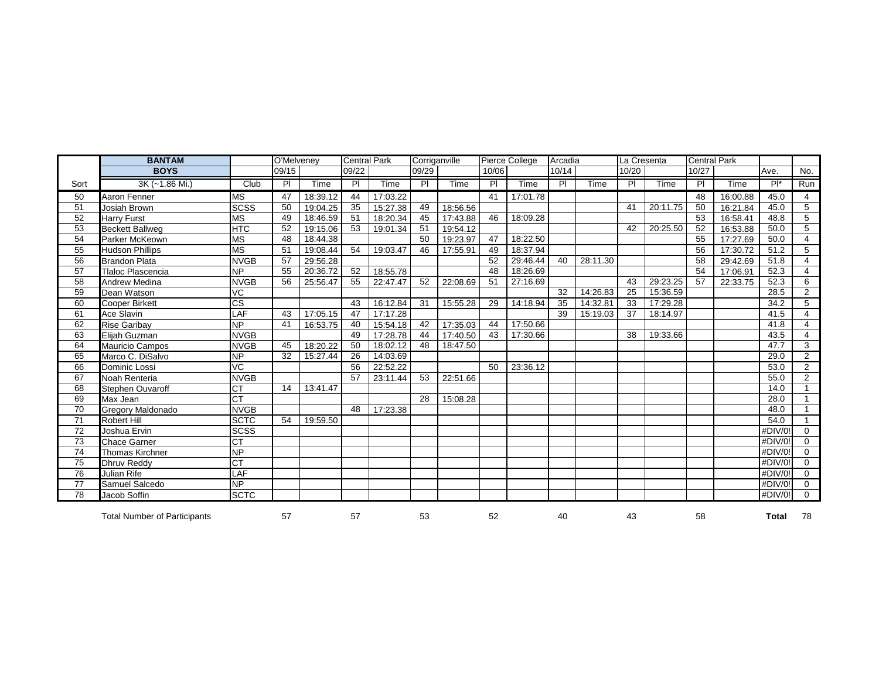|                 | <b>BANTAM</b>                       |                                         | O'Melveney |          | <b>Central Park</b> |          | Corriganville |          |                | Pierce College | Arcadia        |          | La Cresenta |          | <b>Central Park</b> |          |            |                |
|-----------------|-------------------------------------|-----------------------------------------|------------|----------|---------------------|----------|---------------|----------|----------------|----------------|----------------|----------|-------------|----------|---------------------|----------|------------|----------------|
|                 | <b>BOYS</b>                         |                                         | 09/15      |          | 09/22               |          | 09/29         |          | 10/06          |                | 10/14          |          | 10/20       |          | 10/27               |          | Ave.       | No.            |
| Sort            | 3K (~1.86 Mi.)                      | Club                                    | PI         | Time     | PI                  | Time     | PI.           | Time     | P <sub>1</sub> | Time           | $\overline{P}$ | Time     | <b>PI</b>   | Time     | PI                  | Time     | $P^*$      | Run            |
| 50              | Aaron Fenner                        | <b>MS</b>                               | 47         | 18:39.12 | 44                  | 17:03.22 |               |          | 41             | 17:01.78       |                |          |             |          | 48                  | 16:00.88 | 45.0       | 4              |
| 51              | Josiah Brown                        | $\overline{\text{s} \text{c} \text{s}}$ | 50         | 19:04.25 | 35                  | 15:27.38 | 49            | 18:56.56 |                |                |                |          | 41          | 20:11.75 | 50                  | 16:21.84 | 45.0       | 5              |
| $\overline{52}$ | <b>Harry Furst</b>                  | $\overline{\text{MS}}$                  | 49         | 18:46.59 | 51                  | 18:20.34 | 45            | 17:43.88 | 46             | 18:09.28       |                |          |             |          | 53                  | 16:58.41 | 48.8       | 5              |
| 53              | <b>Beckett Ballweg</b>              | <b>HTC</b>                              | 52         | 19:15.06 | 53                  | 19:01.34 | 51            | 19:54.12 |                |                |                |          | 42          | 20:25.50 | 52                  | 16:53.88 | 50.0       | 5              |
| 54              | Parker McKeown                      | <b>MS</b>                               | 48         | 18:44.38 |                     |          | 50            | 19:23.97 | 47             | 18:22.50       |                |          |             |          | 55                  | 17:27.69 | 50.0       | 4              |
| 55              | <b>Hudson Phillips</b>              | <b>MS</b>                               | 51         | 19:08.44 | 54                  | 19:03.47 | 46            | 17:55.91 | 49             | 18:37.94       |                |          |             |          | 56                  | 17:30.72 | 51.2       | 5              |
| 56              | <b>Brandon Plata</b>                | <b>NVGB</b>                             | 57         | 29:56.28 |                     |          |               |          | 52             | 29:46.44       | 40             | 28:11.30 |             |          | 58                  | 29:42.69 | 51.8       | 4              |
| 57              | Tlaloc Plascencia                   | <b>NP</b>                               | 55         | 20:36.72 | 52                  | 18:55.78 |               |          | 48             | 18:26.69       |                |          |             |          | 54                  | 17:06.91 | 52.3       | 4              |
| 58              | Andrew Medina                       | <b>NVGB</b>                             | 56         | 25:56.47 | 55                  | 22:47.47 | 52            | 22:08.69 | 51             | 27:16.69       |                |          | 43          | 29:23.25 | 57                  | 22:33.75 | 52.3       | 6              |
| 59              | Dean Watson                         | VC                                      |            |          |                     |          |               |          |                |                | 32             | 14:26.83 | 25          | 15:36.59 |                     |          | 28.5       | $\overline{2}$ |
| 60              | <b>Cooper Birkett</b>               | $\overline{\text{cs}}$                  |            |          | 43                  | 16:12.84 | 31            | 15:55.28 | 29             | 14:18.94       | 35             | 14:32.81 | 33          | 17:29.28 |                     |          | 34.2       | 5              |
| 61              | Ace Slavin                          | LAF                                     | 43         | 17:05.15 | 47                  | 17:17.28 |               |          |                |                | 39             | 15:19.03 | 37          | 18:14.97 |                     |          | 41.5       |                |
| 62              | <b>Rise Garibav</b>                 | <b>NP</b>                               | 41         | 16:53.75 | 40                  | 15:54.18 | 42            | 17:35.03 | 44             | 17:50.66       |                |          |             |          |                     |          | 41.8       | 4              |
| 63              | Elijah Guzman                       | <b>NVGB</b>                             |            |          | 49                  | 17:28.78 | 44            | 17:40.50 | 43             | 17:30.66       |                |          | 38          | 19:33.66 |                     |          | 43.5       | 4              |
| 64              | Mauricio Campos                     | <b>NVGB</b>                             | 45         | 18:20.22 | 50                  | 18:02.12 | 48            | 18:47.50 |                |                |                |          |             |          |                     |          | 47.7       | 3              |
| 65              | Marco C. DiSalvo                    | $\overline{NP}$                         | 32         | 15:27.44 | 26                  | 14:03.69 |               |          |                |                |                |          |             |          |                     |          | 29.0       | 2              |
| 66              | Dominic Lossi                       | $\overline{VC}$                         |            |          | 56                  | 22:52.22 |               |          | 50             | 23:36.12       |                |          |             |          |                     |          | 53.0       | $\overline{2}$ |
| 67              | Noah Renteria                       | <b>NVGB</b>                             |            |          | 57                  | 23:11.44 | 53            | 22:51.66 |                |                |                |          |             |          |                     |          | 55.0       | $\overline{2}$ |
| 68              | Stephen Ouvaroff                    | <b>CT</b>                               | 14         | 13:41.47 |                     |          |               |          |                |                |                |          |             |          |                     |          | 14.0       |                |
| 69              | Max Jean                            | $\overline{CT}$                         |            |          |                     |          | 28            | 15:08.28 |                |                |                |          |             |          |                     |          | 28.0       |                |
| 70              | <b>Gregory Maldonado</b>            | <b>NVGB</b>                             |            |          | 48                  | 17:23.38 |               |          |                |                |                |          |             |          |                     |          | 48.0       |                |
| 71              | <b>Robert Hill</b>                  | <b>SCTC</b>                             | 54         | 19:59.50 |                     |          |               |          |                |                |                |          |             |          |                     |          | 54.0       |                |
| 72              | Joshua Ervin                        | <b>SCSS</b>                             |            |          |                     |          |               |          |                |                |                |          |             |          |                     |          | #DIV/0!    | $\Omega$       |
| 73              | <b>Chace Garner</b>                 | <b>CT</b>                               |            |          |                     |          |               |          |                |                |                |          |             |          |                     |          | #DIV/0!    | $\Omega$       |
| 74              | <b>Thomas Kirchner</b>              | <b>NP</b>                               |            |          |                     |          |               |          |                |                |                |          |             |          |                     |          | #DIV/0!    | $\Omega$       |
| 75              | <b>Dhruv Reddy</b>                  | $\overline{CT}$                         |            |          |                     |          |               |          |                |                |                |          |             |          |                     |          | #DIV/0!    | $\Omega$       |
| 76              | <b>Julian Rife</b>                  | LAF                                     |            |          |                     |          |               |          |                |                |                |          |             |          |                     |          | $#$ DIV/0! | $\Omega$       |
| 77              | Samuel Salcedo                      | <b>NP</b>                               |            |          |                     |          |               |          |                |                |                |          |             |          |                     |          | #DIV/0!    | $\Omega$       |
| $\overline{78}$ | Jacob Soffin                        | <b>SCTC</b>                             |            |          |                     |          |               |          |                |                |                |          |             |          |                     |          | #DIV/0!    | $\Omega$       |
|                 | <b>Total Number of Participants</b> |                                         | 57         |          | 57                  |          | 53            |          | 52             |                | 40             |          | 43          |          | 58                  |          | Total      | 78             |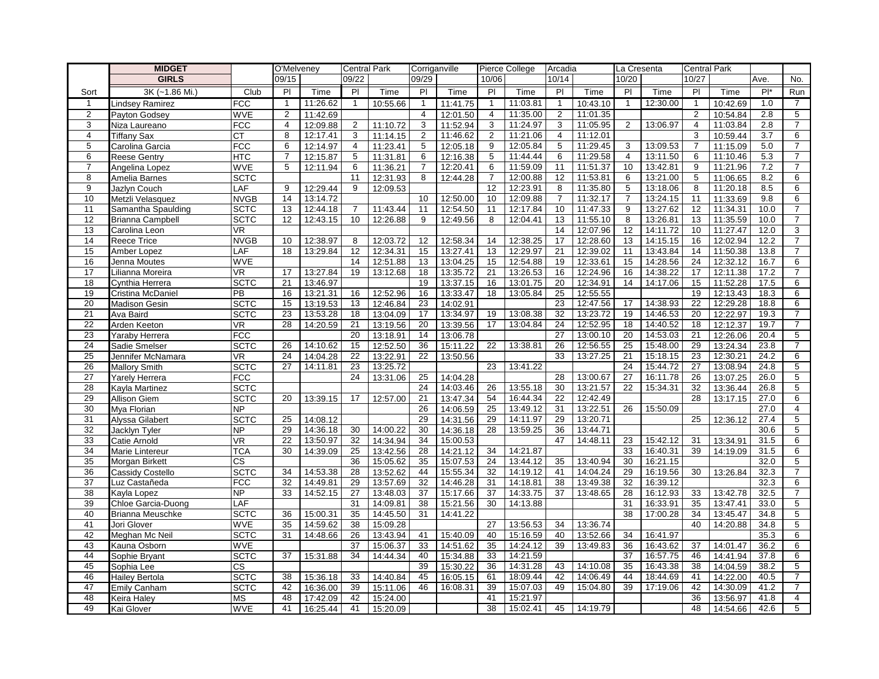|                | <b>MIDGET</b>         |             | O'Melveney      |          | <b>Central Park</b> |          | Corriganville   |          |                | Pierce College | Arcadia        |          | La Cresenta    |          | <b>Central Park</b> |          |       |                 |
|----------------|-----------------------|-------------|-----------------|----------|---------------------|----------|-----------------|----------|----------------|----------------|----------------|----------|----------------|----------|---------------------|----------|-------|-----------------|
|                | <b>GIRLS</b>          |             | 09/15           |          | 09/22               |          | 09/29           |          | 10/06          |                | 10/14          |          | 10/20          |          | 10/27               |          | Ave.  | No.             |
| Sort           | $3K$ (~1.86 Mi.)      | Club        | $\overline{P}$  | Time     | PI                  | Time     | PI              | Time     | PI             | Time           | PI             | Time     | PI             | Time     | PI                  | Time     | $P^*$ | Run             |
| $\mathbf{1}$   | Lindsey Ramirez       | <b>FCC</b>  | $\mathbf{1}$    | 11:26.62 | $\mathbf{1}$        | 10:55.66 | $\mathbf{1}$    | 11:41.75 | $\mathbf{1}$   | 11:03.81       | $\overline{1}$ | 10:43.10 | $\mathbf{1}$   | 12:30.00 | $\mathbf{1}$        | 10:42.69 | 1.0   | 7               |
| $\overline{2}$ | Payton Godsey         | <b>WVE</b>  | $\overline{2}$  | 11:42.69 |                     |          | $\overline{4}$  | 12:01.50 | $\overline{4}$ | 11:35.00       | $\overline{2}$ | 11:01.35 |                |          | $\overline{2}$      | 10:54.84 | 2.8   | 5               |
| 3              | Niza Laureano         | <b>FCC</b>  | $\overline{4}$  | 12:09.88 | $\overline{2}$      | 11:10.72 | 3               | 11:52.94 | 3              | 11:24.97       | 3              | 11:05.95 | 2              | 13:06.97 | $\overline{4}$      | 11:03.84 | 2.8   | $\overline{7}$  |
| 4              | <b>Tiffany Sax</b>    | CT          | 8               | 12:17.41 | 3                   | 11:14.15 | $\overline{2}$  | 11:46.62 | $\overline{2}$ | 11:21.06       | $\overline{4}$ | 11:12.01 |                |          | 3                   | 10:59.44 | 3.7   | 6               |
| 5              | Carolina Garcia       | <b>FCC</b>  | 6               | 12:14.97 | 4                   | 11:23.41 | 5               | 12:05.18 | 9              | 12:05.84       | 5              | 11:29.45 | 3              | 13:09.53 | $\overline{7}$      | 11:15.09 | 5.0   | $\overline{7}$  |
| 6              | <b>Reese Gentry</b>   | <b>HTC</b>  | $\overline{7}$  | 12:15.87 | 5                   | 11:31.81 | 6               | 12:16.38 | 5              | 11:44.44       | 6              | 11:29.58 | $\overline{4}$ | 13:11.50 | 6                   | 11:10.46 | 5.3   | $\overline{7}$  |
| $\overline{7}$ | Angelina Lopez        | <b>WVE</b>  | 5               | 12:11.94 | 6                   | 11:36.21 | $\overline{7}$  | 12:20.41 | 6              | 11:59.09       | 11             | 11:51.37 | 10             | 13:42.81 | 9                   | 11:21.96 | 7.2   | $\overline{7}$  |
| 8              | Amelia Barnes         | <b>SCTC</b> |                 |          | 11                  | 12:31.93 | 8               | 12:44.28 | 7              | 12:00.88       | 12             | 11:53.81 | 6              | 13:21.00 | 5                   | 11:06.65 | 8.2   | 6               |
| 9              | Jazlyn Couch          | LAF         | 9               | 12:29.44 | 9                   | 12:09.53 |                 |          | 12             | 12:23.91       | 8              | 11:35.80 | 5              | 13:18.06 | 8                   | 11:20.18 | 8.5   | 6               |
| 10             | Metzli Velasquez      | <b>NVGB</b> | 14              | 13:14.72 |                     |          | 10 <sup>1</sup> | 12:50.00 | 10             | 12:09.88       | $\overline{7}$ | 11:32.17 | $\overline{7}$ | 13:24.15 | 11                  | 11:33.69 | 9.8   | 6               |
| 11             | Samantha Spaulding    | <b>SCTC</b> | 13              | 12:44.18 | $\overline{7}$      | 11:43.44 | 11              | 12:54.50 | 11             | 12:17.84       | 10             | 11:47.33 | 9              | 13:27.62 | 12                  | 11:34.31 | 10.0  | $\overline{7}$  |
| 12             | Brianna Campbell      | <b>SCTC</b> | $\overline{12}$ | 12:43.15 | 10                  | 12:26.88 | 9               | 12:49.56 | 8              | 12:04.41       | 13             | 11:55.10 | 8              | 13:26.81 | $\overline{13}$     | 11:35.59 | 10.0  | $\overline{7}$  |
| 13             | Carolina Leon         | VR.         |                 |          |                     |          |                 |          |                |                | 14             | 12:07.96 | 12             | 14:11.72 | 10                  | 11:27.47 | 12.0  | 3               |
| 14             | Reece Trice           | <b>NVGB</b> | 10              | 12:38.97 | 8                   | 12:03.72 | 12              | 12:58.34 | 14             | 12:38.25       | 17             | 12:28.60 | 13             | 14:15.15 | 16                  | 12:02.94 | 12.2  | $\overline{7}$  |
| 15             | Amber Lopez           | LAF         | 18              | 13:29.84 | 12                  | 12:34.31 | 15              | 13:27.41 | 13             | 12:29.97       | 21             | 12:39.02 | 11             | 13:43.84 | 14                  | 11:50.38 | 13.8  | $\overline{7}$  |
| 16             | Jenna Moutes          | <b>WVE</b>  |                 |          | 14                  | 12:51.88 | 13              | 13:04.25 | 15             | 12:54.88       | 19             | 12:33.61 | 15             | 14:28.56 | 24                  | 12:32.12 | 16.7  | 6               |
| 17             | Lilianna Moreira      | VR          | 17              | 13:27.84 | 19                  | 13:12.68 | 18              | 13:35.72 | 21             | 13:26.53       | 16             | 12:24.96 | 16             | 14:38.22 | 17                  | 12:11.38 | 17.2  | $\overline{7}$  |
| 18             | Cynthia Herrera       | <b>SCTC</b> | 21              | 13:46.97 |                     |          | 19              | 13:37.15 | 16             | 13:01.75       | 20             | 12:34.91 | 14             | 14:17.06 | 15                  | 11:52.28 | 17.5  | 6               |
| 19             | Cristina McDaniel     | PB          | 16              | 13:21.31 | 16                  | 12:52.96 | 16              | 13:33.47 | 18             | 13:05.84       | 25             | 12:55.55 |                |          | 19                  | 12:13.43 | 18.3  | 6               |
| 20             | <b>Madison Gesin</b>  | <b>SCTC</b> | 15              | 13:19.53 | 13                  | 12:46.84 | 23              | 14:02.91 |                |                | 23             | 12:47.56 | 17             | 14:38.93 | 22                  | 12:29.28 | 18.8  | 6               |
| 21             | Ava Baird             | <b>SCTC</b> | 23              | 13:53.28 | 18                  | 13:04.09 | 17              | 13:34.97 | 19             | 13:08.38       | 32             | 13:23.72 | 19             | 14:46.53 | 20                  | 12:22.97 | 19.3  | $\overline{7}$  |
| 22             | Arden Keeton          | VR          | 28              | 14:20.59 | 21                  | 13:19.56 | 20              | 13:39.56 | 17             | 13:04.84       | 24             | 12:52.95 | 18             | 14:40.52 | 18                  | 12:12.37 | 19.7  | $\overline{7}$  |
| 23             | Yaraby Herrera        | <b>FCC</b>  |                 |          | 20                  | 13:18.91 | 14              | 13:06.78 |                |                | 27             | 13:00.10 | 20             | 14:53.03 | 21                  | 12:26.06 | 20.4  | 5               |
| 24             | Sadie Smelser         | <b>SCTC</b> | 26              | 14:10.62 | 15                  | 12:52.50 | 36              | 15:11.22 | 22             | 13:38.81       | 26             | 12:56.55 | 25             | 15:48.00 | 29                  | 13:24.34 | 23.8  | $\overline{7}$  |
| 25             | Jennifer McNamara     | <b>VR</b>   | 24              | 14:04.28 | $\overline{22}$     | 13:22.91 | 22              | 13:50.56 |                |                | 33             | 13:27.25 | 21             | 15:18.15 | 23                  | 12:30.21 | 24.2  | 6               |
| 26             | <b>Mallory Smith</b>  | <b>SCTC</b> | 27              | 14:11.81 | 23                  | 13:25.72 |                 |          | 23             | 13:41.22       |                |          | 24             | 15:44.72 | 27                  | 13:08.94 | 24.8  | 5               |
| 27             | <b>Yarely Herrera</b> | <b>FCC</b>  |                 |          | 24                  | 13:31.06 | 25              | 14:04.28 |                |                | 28             | 13:00.67 | 27             | 16:11.78 | 26                  | 13:07.25 | 26.0  | 5               |
| 28             | Kayla Martinez        | <b>SCTC</b> |                 |          |                     |          | 24              | 14:03.46 | 26             | 13:55.18       | 30             | 13:21.57 | 22             | 15:34.31 | 32                  | 13:36.44 | 26.8  | 5               |
| 29             | Allison Giem          | <b>SCTC</b> | $\overline{20}$ | 13:39.15 | 17                  | 12:57.00 | 21              | 13:47.34 | 54             | 16:44.34       | 22             | 12:42.49 |                |          | 28                  | 13:17.15 | 27.0  | 6               |
| 30             | Mya Florian           | <b>NP</b>   |                 |          |                     |          | 26              | 14:06.59 | 25             | 13:49.12       | 31             | 13:22.51 | 26             | 15:50.09 |                     |          | 27.0  | $\overline{4}$  |
| 31             | Alyssa Gilabert       | <b>SCTC</b> | 25              | 14:08.12 |                     |          | 29              | 14:31.56 | 29             | 14:11.97       | 29             | 13:20.71 |                |          | 25                  | 12:36.12 | 27.4  | 5               |
| 32             | Jacklyn Tyler         | <b>NP</b>   | 29              | 14:36.18 | 30                  | 14:00.22 | 30              | 14:36.18 | 28             | 13:59.25       | 36             | 13:44.71 |                |          |                     |          | 30.6  | 5               |
| 33             | Catie Arnold          | VR          | $\overline{22}$ | 13:50.97 | $\overline{32}$     | 14:34.94 | 34              | 15:00.53 |                |                | 47             | 14:48.11 | 23             | 15:42.12 | 31                  | 13:34.91 | 31.5  | $6\overline{6}$ |
| 34             | Marie Lintereur       | <b>TCA</b>  | 30              | 14:39.09 | 25                  | 13:42.56 | 28              | 14:21.12 | 34             | 14:21.87       |                |          | 33             | 16:40.31 | 39                  | 14:19.09 | 31.5  | 6               |
| 35             | Morgan Birkett        | <b>CS</b>   |                 |          | 36                  | 15:05.62 | 35              | 15:07.53 | 24             | 13:44.12       | 35             | 13:40.94 | 30             | 16:21.15 |                     |          | 32.0  | 5               |
| 36             | Cassidy Costello      | <b>SCTC</b> | 34              | 14:53.38 | 28                  | 13:52.62 | 44              | 15:55.34 | 32             | 14:19.12       | 41             | 14:04.24 | 29             | 16:19.56 | 30                  | 13:26.84 | 32.3  | $\overline{7}$  |
| 37             | Luz Castañeda         | <b>FCC</b>  | 32              | 14:49.81 | 29                  | 13:57.69 | 32              | 14:46.28 | 31             | 14:18.81       | 38             | 13:49.38 | 32             | 16:39.12 |                     |          | 32.3  | 6               |
| 38             | Kayla Lopez           | <b>NP</b>   | 33              | 14:52.15 | 27                  | 13:48.03 | 37              | 15:17.66 | 37             | 14:33.75       | 37             | 13:48.65 | 28             | 16:12.93 | 33                  | 13:42.78 | 32.5  | $\overline{7}$  |
| 39             | Chloe Garcia-Duong    | LAF         |                 |          | 31                  | 14:09.81 | 38              | 15:21.56 | 30             | 14:13.88       |                |          | 31             | 16:33.91 | 35                  | 13:47.41 | 33.0  | 5               |
| 40             | Brianna Meuschke      | <b>SCTC</b> | 36              | 15:00.31 | 35                  | 14:45.50 | 31              | 14:41.22 |                |                |                |          | 38             | 17:00.28 | 34                  | 13:45.47 | 34.8  | 5               |
| 41             | Jori Glover           | <b>WVE</b>  | 35              | 14:59.62 | 38                  | 15:09.28 |                 |          | 27             | 13:56.53       | 34             | 13:36.74 |                |          | 40                  | 14:20.88 | 34.8  | 5               |
| 42             | Meghan Mc Neil        | <b>SCTC</b> | 31              | 14:48.66 | 26                  | 13:43.94 | 41              | 15:40.09 | 40             | 15:16.59       | 40             | 13:52.66 | 34             | 16:41.97 |                     |          | 35.3  | 6               |
| 43             | Kauna Osborn          | <b>WVE</b>  |                 |          | 37                  | 15:06.37 | 33              | 14:51.62 | 35             | 14:24.12       | 39             | 13:49.83 | 36             | 16:43.62 | 37                  | 14:01.47 | 36.2  | 6               |
| 44             | Sophie Bryant         | <b>SCTC</b> | 37              | 15:31.88 | 34                  | 14:44.34 | 40              | 15:34.88 | 33             | 14:21.59       |                |          | 37             | 16:57.75 | 46                  | 14:41.94 | 37.8  | 6               |
| 45             | Sophia Lee            | CS          |                 |          |                     |          | 39              | 15:30.22 | 36             | 14:31.28       | 43             | 14:10.08 | 35             | 16:43.38 | 38                  | 14:04.59 | 38.2  | 5               |
| 46             | Hailey Bertola        | <b>SCTC</b> | 38              | 15:36.18 | 33                  | 14:40.84 | 45              | 16:05.15 | 61             | 18:09.44       | 42             | 14:06.49 | 44             | 18:44.69 | 41                  | 14:22.00 | 40.5  | $\overline{7}$  |
| 47             | Emily Canham          | <b>SCTC</b> | 42              | 16:36.00 | 39                  | 15:11.06 | 46              | 16:08.31 | 39             | 15:07.03       | 49             | 15:04.80 | 39             | 17:19.06 | 42                  | 14:30.09 | 41.2  | 7               |
| 48             | Keira Haley           | <b>MS</b>   | 48              | 17:42.09 | 42                  | 15:24.00 |                 |          | 41             | 15:21.97       |                |          |                |          | 36                  | 13:56.97 | 41.8  | $\overline{4}$  |
| 49             | Kai Glover            | <b>WVE</b>  | 41              | 16:25.44 | 41                  | 15:20.09 |                 |          | 38             | 15:02.41       | 45             | 14:19.79 |                |          | 48                  | 14:54.66 | 42.6  | 5               |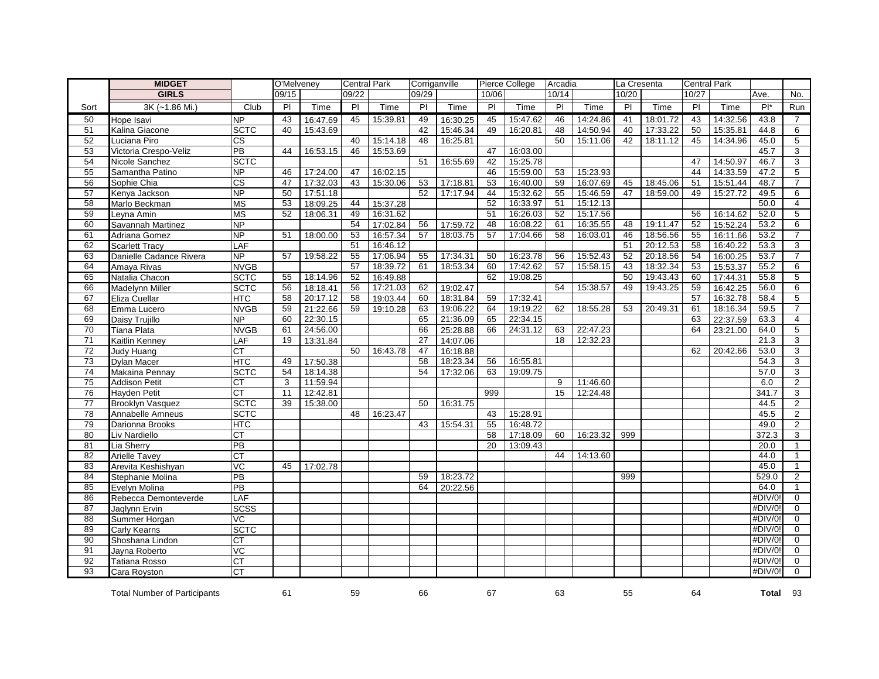|                 | <b>MIDGET</b>                       |                        | O'Melveney      |          | <b>Central Park</b> |          | Corriganville  |          |                 | Pierce College | Arcadia        |          | La Cresenta |          | <b>Central Park</b> |          |         |                 |
|-----------------|-------------------------------------|------------------------|-----------------|----------|---------------------|----------|----------------|----------|-----------------|----------------|----------------|----------|-------------|----------|---------------------|----------|---------|-----------------|
|                 | <b>GIRLS</b>                        |                        | 09/15           |          | 09/22               |          | 09/29          |          | 10/06           |                | 10/14          |          | 10/20       |          | 10/27               |          | Ave.    | No.             |
| Sort            | 3K (~1.86 Mi.)                      | Club                   | $\overline{P}$  | Time     | $\overline{P}$      | Time     | $\overline{P}$ | Time     | $\overline{P}$  | Time           | $\overline{P}$ | Time     | P           | Time     | P <sub>1</sub>      | Time     | $P^*$   | Run             |
| 50              | Hope Isavi                          | NP                     | 43              | 16:47.69 | 45                  | 15:39.81 | 49             | 16:30.25 | 45              | 15:47.62       | 46             | 14:24.86 | 41          | 18:01.72 | 43                  | 14:32.56 | 43.8    | $\overline{7}$  |
| 51              | Kalina Giacone                      | <b>SCTC</b>            | 40              | 15:43.69 |                     |          | 42             | 15:46.34 | 49              | 16:20.81       | 48             | 14:50.94 | 40          | 17:33.22 | 50                  | 15:35.81 | 44.8    | 6               |
| 52              | Luciana Piro                        | $\overline{\text{cs}}$ |                 |          | 40                  | 15:14.18 | 48             | 16:25.81 |                 |                | 50             | 15:11.06 | 42          | 18:11.12 | 45                  | 14:34.96 | 45.0    | $\overline{5}$  |
| 53              | Victoria Crespo-Veliz               | PB                     | 44              | 16:53.15 | 46                  | 15:53.69 |                |          | 47              | 16:03.00       |                |          |             |          |                     |          | 45.7    | $\mathbf{3}$    |
| 54              | Nicole Sanchez                      | <b>SCTC</b>            |                 |          |                     |          | 51             | 16:55.69 | 42              | 15:25.78       |                |          |             |          | 47                  | 14:50.97 | 46.7    | 3               |
| 55              | Samantha Patino                     | <b>NP</b>              | 46              | 17:24.00 | 47                  | 16:02.15 |                |          | 46              | 15:59.00       | 53             | 15:23.93 |             |          | 44                  | 14:33.59 | 47.2    | 5               |
| 56              | Sophie Chia                         | $\overline{\text{cs}}$ | 47              | 17:32.03 | 43                  | 15:30.06 | 53             | 17:18.81 | 53              | 16:40.00       | 59             | 16:07.69 | 45          | 18:45.06 | 51                  | 15:51.44 | 48.7    | $\overline{7}$  |
| 57              | Kenya Jackson                       | <b>NP</b>              | 50              | 17:51.18 |                     |          | 52             | 17:17.94 | 44              | 15:32.62       | 55             | 15:46.59 | 47          | 18:59.00 | 49                  | 15:27.72 | 49.5    | 6               |
| 58              | Marlo Beckman                       | <b>MS</b>              | 53              | 18:09.25 | 44                  | 15:37.28 |                |          | 52              | 16:33.97       | 51             | 15:12.13 |             |          |                     |          | 50.0    | $\overline{4}$  |
| 59              | Leyna Amin                          | <b>MS</b>              | 52              | 18:06.31 | 49                  | 16:31.62 |                |          | 51              | 16:26.03       | 52             | 15:17.56 |             |          | 56                  | 16:14.62 | 52.0    | $\overline{5}$  |
| 60              | Savannah Martinez                   | <b>NP</b>              |                 |          | 54                  | 17:02.84 | 56             | 17:59.72 | 48              | 16:08.22       | 61             | 16:35.55 | 48          | 19:11.47 | 52                  | 15:52.24 | 53.2    | 6               |
| 61              | Adriana Gomez                       | <b>NP</b>              | 51              | 18:00.00 | 53                  | 16:57.34 | 57             | 18:03.75 | 57              | 17:04.66       | 58             | 16:03.01 | 46          | 18:56.56 | 55                  | 16:11.66 | 53.2    | $\overline{7}$  |
| 62              | <b>Scarlett Tracy</b>               | LAF                    |                 |          | 51                  | 16:46.12 |                |          |                 |                |                |          | 51          | 20:12.53 | 58                  | 16:40.22 | 53.3    | 3               |
| 63              | Danielle Cadance Rivera             | NP                     | 57              | 19:58.22 | 55                  | 17:06.94 | 55             | 17:34.31 | 50              | 16:23.78       | 56             | 15:52.43 | 52          | 20:18.56 | 54                  | 16:00.25 | 53.7    | $\overline{7}$  |
| 64              | Amaya Rivas                         | <b>NVGB</b>            |                 |          | 57                  | 18:39.72 | 61             | 18:53.34 | 60              | 17:42.62       | 57             | 15:58.15 | 43          | 18:32.34 | 53                  | 15:53.37 | 55.2    | 6               |
| 65              | Natalia Chacon                      | <b>SCTC</b>            | 55              | 18:14.96 | 52                  | 16:49.88 |                |          | 62              | 19:08.25       |                |          | 50          | 19:43.43 | 60                  | 17:44.31 | 55.8    | $\overline{5}$  |
| 66              | Madelynn Miller                     | <b>SCTC</b>            | 56              | 18:18.41 | 56                  | 17:21.03 | 62             | 19:02.47 |                 |                | 54             | 15:38.57 | 49          | 19:43.25 | 59                  | 16:42.25 | 56.0    | 6               |
| 67              | Eliza Cuellar                       | <b>HTC</b>             | 58              | 20:17.12 | 58                  | 19:03.44 | 60             | 18:31.84 | 59              | 17:32.41       |                |          |             |          | 57                  | 16:32.78 | 58.4    | 5               |
| 68              | Emma Lucero                         | <b>NVGB</b>            | 59              | 21:22.66 | 59                  | 19:10.28 | 63             | 19:06.22 | 64              | 19:19.22       | 62             | 18:55.28 | 53          | 20:49.31 | 61                  | 18:16.34 | 59.5    | $\overline{7}$  |
| 69              | Daisy Trujillo                      | NP                     | 60              | 22:30.15 |                     |          | 65             | 21:36.09 | 65              | 22:34.15       |                |          |             |          | 63                  | 22:37.59 | 63.3    | $\overline{4}$  |
| 70              | Tiana Plata                         | <b>NVGB</b>            | 61              | 24:56.00 |                     |          | 66             | 25:28.88 | 66              | 24:31.12       | 63             | 22:47.23 |             |          | 64                  | 23:21.00 | 64.0    | $5\overline{)}$ |
| $\overline{71}$ | Kaitlin Kenney                      | LAF                    | 19              | 13:31.84 |                     |          | 27             | 14:07.06 |                 |                | 18             | 12:32.23 |             |          |                     |          | 21.3    | $\mathbf{3}$    |
| $\overline{72}$ | Judy Huang                          | <b>CT</b>              |                 |          | 50                  | 16:43.78 | 47             | 16:18.88 |                 |                |                |          |             |          | 62                  | 20:42.66 | 53.0    | 3               |
| 73              | <b>Dylan Macer</b>                  | HTC                    | 49              | 17:50.38 |                     |          | 58             | 18:23.34 | 56              | 16:55.81       |                |          |             |          |                     |          | 54.3    | 3               |
| $\overline{74}$ | Makaina Pennay                      | <b>SCTC</b>            | 54              | 18:14.38 |                     |          | 54             | 17:32.06 | 63              | 19:09.75       |                |          |             |          |                     |          | 57.0    | $\overline{3}$  |
| $\overline{75}$ | <b>Addison Petit</b>                | <b>CT</b>              | 3               | 11:59.94 |                     |          |                |          |                 |                | 9              | 11:46.60 |             |          |                     |          | 6.0     | $\overline{2}$  |
| 76              | <b>Hayden Petit</b>                 | $\overline{CT}$        | 11              | 12:42.81 |                     |          |                |          | 999             |                | 15             | 12:24.48 |             |          |                     |          | 341.7   | 3               |
| 77              | <b>Brooklyn Vasquez</b>             | <b>SCTC</b>            | $\overline{39}$ | 15:38.00 |                     |          | 50             | 16:31.75 |                 |                |                |          |             |          |                     |          | 44.5    | $\overline{2}$  |
| 78              | Annabelle Amneus                    | <b>SCTC</b>            |                 |          | 48                  | 16:23.47 |                |          | 43              | 15:28.91       |                |          |             |          |                     |          | 45.5    | $\overline{2}$  |
| 79              | Darionna Brooks                     | HTC                    |                 |          |                     |          | 43             | 15:54.31 | 55              | 16:48.72       |                |          |             |          |                     |          | 49.0    | 2               |
| 80              | Liv Nardiello                       | <b>CT</b>              |                 |          |                     |          |                |          | $\overline{58}$ | 17:18.09       | 60             | 16:23.32 | 999         |          |                     |          | 372.3   | 3               |
| 81              | Lia Sherry                          | PB                     |                 |          |                     |          |                |          | 20              | 13:09.43       |                |          |             |          |                     |          | 20.0    | $\mathbf{1}$    |
| 82              | <b>Arielle Tavey</b>                | СT                     |                 |          |                     |          |                |          |                 |                | 44             | 14:13.60 |             |          |                     |          | 44.0    | $\mathbf{1}$    |
| 83              | Arevita Keshishyan                  | $\overline{VC}$        | 45              | 17:02.78 |                     |          |                |          |                 |                |                |          |             |          |                     |          | 45.0    | $\mathbf{1}$    |
| 84              | Stephanie Molina                    | PB                     |                 |          |                     |          | 59             | 18:23.72 |                 |                |                |          | 999         |          |                     |          | 529.0   | 2               |
| 85              | Evelyn Molina                       | PB                     |                 |          |                     |          | 64             | 20:22.56 |                 |                |                |          |             |          |                     |          | 64.0    | $\mathbf{1}$    |
| 86              | Rebecca Demonteverde                | LAF                    |                 |          |                     |          |                |          |                 |                |                |          |             |          |                     |          | #DIV/0! | $\overline{0}$  |
| 87              | Jaqlynn Ervin                       | <b>SCSS</b>            |                 |          |                     |          |                |          |                 |                |                |          |             |          |                     |          | #DIV/0! | $\mathbf{0}$    |
| 88              | Summer Horgan                       | VC                     |                 |          |                     |          |                |          |                 |                |                |          |             |          |                     |          | #DIV/0! | $\Omega$        |
| 89              | Carly Kearns                        | <b>SCTC</b>            |                 |          |                     |          |                |          |                 |                |                |          |             |          |                     |          | #DIV/0! | $\mathbf 0$     |
| 90              | Shoshana Lindon                     | <b>CT</b>              |                 |          |                     |          |                |          |                 |                |                |          |             |          |                     |          | #DIV/0! | $\Omega$        |
| 91              | Jayna Roberto                       | $\overline{C}$         |                 |          |                     |          |                |          |                 |                |                |          |             |          |                     |          | #DIV/0! | $\mathbf 0$     |
| 92              | <b>Tatiana Rosso</b>                | <b>CT</b>              |                 |          |                     |          |                |          |                 |                |                |          |             |          |                     |          | #DIV/0! | $\mathbf{0}$    |
| 93              | Cara Royston                        | <b>CT</b>              |                 |          |                     |          |                |          |                 |                |                |          |             |          |                     |          | #DIV/0! | $\Omega$        |
|                 | <b>Total Number of Participants</b> |                        | 61              |          | 59                  |          | 66             |          | 67              |                | 63             |          | 55          |          | 64                  |          | Total   | 93              |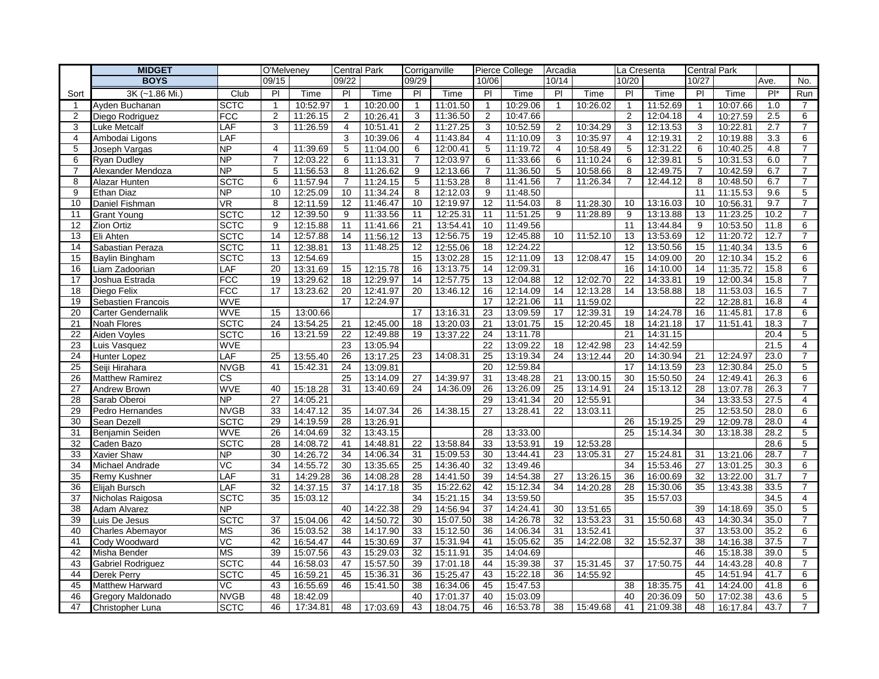|                | <b>MIDGET</b>                    |                              | O'Melveney     |                      | <b>Central Park</b> |                      | Corriganville  |                      |                | Pierce College       | Arcadia        |                      | La Cresenta     |          | <b>Central Park</b> |                      |              |                     |
|----------------|----------------------------------|------------------------------|----------------|----------------------|---------------------|----------------------|----------------|----------------------|----------------|----------------------|----------------|----------------------|-----------------|----------|---------------------|----------------------|--------------|---------------------|
|                | <b>BOYS</b>                      |                              | 09/15          |                      | 09/22               |                      | 09/29          |                      | 10/06          |                      | 10/14          |                      | 10/20           |          | 10/27               |                      | Ave.         | No.                 |
| Sort           | 3K (~1.86 Mi.)                   | Club                         | PI             | Time                 | PI                  | Time                 | PI             | Time                 | P <sub>1</sub> | Time                 | PI             | Time                 | PI              | Time     | PI.                 | Time                 | $Pl^*$       | Run                 |
| -1             | Ayden Buchanan                   | <b>SCTC</b>                  | $\overline{1}$ | 10:52.97             | $\mathbf{1}$        | 10:20.00             | $\mathbf{1}$   | 11:01.50             | $\mathbf{1}$   | 10:29.06             | $\mathbf{1}$   | 10:26.02             | $\mathbf{1}$    | 11:52.69 | $\mathbf{1}$        | 10:07.66             | 1.0          | $\overline{7}$      |
| 2              | Diego Rodriguez                  | <b>FCC</b>                   | 2              | 11:26.15             | 2                   | 10:26.41             | 3              | 11:36.50             | $\overline{2}$ | 10:47.66             |                |                      | $\mathbf{2}$    | 12:04.18 | $\overline{4}$      | 10:27.59             | 2.5          | 6                   |
| 3              | Luke Metcalf                     | LAF                          | 3              | 11:26.59             | 4                   | 10:51.41             | 2              | 11:27.25             | 3              | 10:52.59             | 2              | 10:34.29             | 3               | 12:13.53 | 3                   | 10:22.81             | 2.7          | $\overline{7}$      |
| $\overline{4}$ | Ambodai Ligons                   | LAF                          |                |                      | 3                   | 10:39.06             | 4              | 11:43.84             | $\overline{4}$ | 11:10.09             | 3              | 10:35.97             | 4               | 12:19.31 | $\overline{2}$      | 10:19.88             | 3.3          | 6                   |
| 5              | Joseph Vargas                    | <b>NP</b>                    | $\overline{4}$ | 11:39.69             | 5                   | 11:04.00             | 6              | 12:00.41             | 5              | 11:19.72             | $\overline{4}$ | 10:58.49             | 5               | 12:31.22 | 6                   | 10:40.25             | 4.8          | $\overline{7}$      |
| 6              | <b>Ryan Dudley</b>               | <b>NP</b>                    | $\overline{7}$ | 12:03.22             | 6                   | 11:13.31             | $\overline{7}$ | 12:03.97             | 6              | 11:33.66             | 6              | 11:10.24             | 6               | 12:39.81 | 5                   | 10:31.53             | 6.0          | $\overline{7}$      |
| 7              | Alexander Mendoza                | <b>NP</b>                    | 5              | 11:56.53             | 8                   | 11:26.62             | 9              | 12:13.66             | $\overline{7}$ | 11:36.50             | 5              | 10:58.66             | 8               | 12:49.75 | $\overline{7}$      | 10:42.59             | 6.7          | $\overline{7}$      |
| 8              | Alazar Hunten                    | <b>SCTC</b>                  | 6              | 11:57.94             | $\overline{7}$      | 11:24.15             | 5              | 11:53.28             | 8              | 11:41.56             | $\overline{7}$ | 11:26.34             | $\overline{7}$  | 12:44.12 | 8                   | 10:48.50             | 6.7          | $\overline{7}$      |
| 9              | <b>Ethan Diaz</b>                | <b>NP</b>                    | 10             | 12:25.09             | 10                  | 11:34.24             | 8              | 12:12.03             | 9              | 11:48.50             |                |                      |                 |          | 11                  | 11:15.53             | 9.6          | 5                   |
| 10             | Daniel Fishman                   | <b>VR</b>                    | 8              | 12:11.59             | 12                  | 11:46.47             | 10             | 12:19.97             | 12             | 11:54.03             | 8              | 11:28.30             | 10              | 13:16.03 | 10                  | 10:56.31             | 9.7          | $\overline{7}$      |
| 11             | Grant Young                      | <b>SCTC</b>                  | 12             | 12:39.50             | 9                   | 11:33.56             | 11             | 12:25.31             | 11             | 11:51.25             | 9              | 11:28.89             | 9               | 13:13.88 | 13                  | 11:23.25             | 10.2         | $\overline{7}$      |
| 12             | Zion Ortiz                       | <b>SCTC</b>                  | 9              | 12:15.88             | 11                  | 11:41.66             | 21             | 13:54.41             | 10             | 11:49.56             |                |                      | 11              | 13:44.84 | 9                   | 10:53.50             | 11.8         | 6                   |
| 13             | Eli Ahten                        | <b>SCTC</b>                  | 14             | 12:57.88             | 14                  | 11:56.12             | 13             | 12:56.75             | 19             | 12:45.88             | 10             | 11:52.10             | 13              | 13:53.69 | 12                  | 11:20.72             | 12.7         | $\overline{7}$      |
| 14             | Sabastian Peraza                 | <b>SCTC</b>                  | 11             | 12:38.81             | 13                  | 11:48.25             | 12             | 12:55.06             | 18             | 12:24.22             |                |                      | 12              | 13:50.56 | 15                  | 11:40.34             | 13.5         | $\overline{6}$      |
| 15             | Baylin Bingham                   | <b>SCTC</b>                  | 13             | 12:54.69             |                     |                      | 15             | 13:02.28             | 15             | 12:11.09             | 13             | 12:08.47             | 15              | 14:09.00 | 20                  | 12:10.34             | 15.2         | 6                   |
| 16             | Liam Zadoorian                   | LAF                          | 20             | 13:31.69             | 15                  | 12:15.78             | 16             | 13:13.75             | 14             | 12:09.31             |                |                      | 16              | 14:10.00 | 14                  | 11:35.72             | 15.8         | 6                   |
| 17             | Joshua Estrada                   | <b>FCC</b>                   | 19             | 13:29.62             | 18                  | 12:29.97             | 14             | 12:57.75             | 13             | 12:04.88             | 12             | 12:02.70             | 22              | 14:33.81 | 19                  | 12:00.34             | 15.8         | $\overline{7}$      |
| 18             | Diego Felix                      | <b>FCC</b>                   | 17             | 13:23.62             | 20                  | 12:41.97             | 20             | 13:46.12             | 16             | 12:14.09             | 14             | 12:13.28             | 14              | 13:58.88 | 18                  | 11:53.03             | 16.5         | $\overline{7}$      |
| 19             | Sebastien Francois               | <b>WVE</b>                   |                |                      | 17                  | 12:24.97             |                |                      | 17             | 12:21.06             | 11             | 11:59.02             |                 |          | 22                  | 12:28.81             | 16.8         | $\overline{4}$      |
| 20             | Carter Gendernalik               | <b>WVE</b>                   | 15             | 13:00.66             |                     |                      | 17             | 13:16.31             | 23             | 13:09.59             | 17             | 12:39.31             | 19              | 14:24.78 | $\overline{16}$     | 11:45.81             | 17.8         | 6                   |
| 21             | <b>Noah Flores</b>               | <b>SCTC</b>                  | 24             | 13:54.25             | 21                  | 12:45.00             | 18             | 13:20.03             | 21             | 13:01.75             | 15             | 12:20.45             | 18              | 14:21.18 | 17                  | 11:51.41             | 18.3         | $\overline{7}$      |
| 22             | Aiden Voyles                     | <b>SCTC</b>                  | 16             | 13:21.59             | 22                  | 12:49.88             | 19             | 13:37.22             | 24             | 13:11.78             |                |                      | 21              | 14:31.15 |                     |                      | 20.4         | 5                   |
| 23             | Luis Vasquez                     | <b>WVE</b>                   |                |                      | 23                  | 13:05.94             |                |                      | 22             | 13:09.22             | 18             | 12:42.98             | 23              | 14:42.59 |                     |                      | 21.5         | $\overline{4}$      |
| 24             | Hunter Lopez                     | LAF                          | 25             | 13:55.40             | 26                  | 13:17.25             | 23             | 14:08.31             | 25             | 13:19.34             | 24             | 13:12.44             | 20              | 14:30.94 | 21                  | 12:24.97             | 23.0         | $\overline{7}$      |
| 25             | Seiji Hirahara                   | <b>NVGB</b>                  | 41             | 15:42.31             | 24                  | 13:09.81             |                |                      | 20             | 12:59.84             |                |                      | 17              | 14:13.59 | 23                  | 12:30.84             | 25.0         | 5                   |
| 26             | Matthew Ramirez                  | $\overline{\text{cs}}$       |                |                      | 25                  | 13:14.09             | 27             | 14:39.97             | 31             | 13:48.28             | 21             | 13:00.15             | 30              | 15:50.50 | 24                  | 12:49.41             | 26.3         | 6                   |
| 27             | <b>Andrew Brown</b>              | <b>WVE</b>                   | 40             | 15:18.28             | 31                  | 13:40.69             | 24             | 14:36.09             | 26             | 13:26.09             | 25             | 13:14.91             | 24              | 15:13.12 | 28                  | 13:07.78             | 26.3         | $\overline{7}$      |
| 28             | Sarab Oberoi                     | <b>NP</b>                    | 27             | 14:05.21             |                     |                      |                |                      | 29             | 13:41.34             | 20             | 12:55.91             |                 |          | 34                  | 13:33.53             | 27.5         | $\overline{4}$      |
| 29             | Pedro Hernandes                  | <b>NVGB</b>                  | 33             | 14:47.12             | 35                  | 14:07.34             | 26             | 14:38.15             | 27             | 13:28.41             | 22             | 13:03.11             |                 |          | 25                  | 12:53.50             | 28.0         | $\,6$               |
| 30             | Sean Dezell                      | <b>SCTC</b>                  | 29             | 14:19.59             | 28                  | 13:26.91             |                |                      |                |                      |                |                      | 26              | 15:19.25 | 29                  | 12:09.78             | 28.0         | $\overline{4}$      |
| 31             | Benjamin Seiden                  | <b>WVE</b>                   | 26             | 14:04.69             | 32                  | 13:43.15             |                |                      | 28             | 13:33.00             |                |                      | $\overline{25}$ | 15:14.34 | 30                  | 13:18.38             | 28.2         | 5                   |
| 32             | Caden Bazo                       | <b>SCTC</b>                  | 28             | 14:08.72             | 41                  | 14:48.81             | 22             | 13:58.84             | 33             | 13:53.91             | 19             | 12:53.28             |                 |          |                     |                      | 28.6         | 5                   |
| 33             | <b>Xavier Shaw</b>               | <b>NP</b>                    | 30             | 14:26.72             | 34                  | 14:06.34             | 31             | 15:09.53             | 30             | 13:44.41             | 23             | 13:05.31             | 27              | 15:24.81 | 31                  | 13:21.06             | 28.7         | $\overline{7}$      |
| 34             | Michael Andrade                  | $\overline{VC}$              | 34             | 14:55.72             | 30                  | 13:35.65             | 25             | 14:36.40             | 32             | 13:49.46             |                |                      | 34              | 15:53.46 | 27                  | 13:01.25             | 30.3         | 6                   |
| 35             | Remy Kushner                     | LAF                          | 31             | 14:29.28             | 36                  | 14:08.28             | 28             | 14:41.50             | 39             | 14:54.38             | 27             | 13:26.15             | 36              | 16:00.69 | 32                  | 13:22.00             | 31.7         | $\overline{7}$      |
| 36             | Elijah Bursch                    | LAF                          | 32             | 14:37.15             | 37                  | 14:17.18             | 35             | 15:22.62             | 42             | 15:12.34             | 34             | 14:20.28             | 28              | 15:30.06 | 35                  | 13:43.38             | 33.5         | $\overline{7}$      |
| 37             | Nicholas Raigosa                 | <b>SCTC</b>                  | 35             | 15:03.12             |                     |                      | 34             | 15:21.15             | 34             | 13:59.50             |                |                      | 35              | 15:57.03 |                     |                      | 34.5         | $\overline{4}$      |
| 38             | Adam Alvarez                     | <b>NP</b>                    |                |                      | 40                  | 14:22.38             | 29             | 14:56.94             | 37             | 14:24.41             | 30             | 13:51.65             | 31              |          | 39<br>43            | 14:18.69             | 35.0         | $\overline{5}$      |
| 39<br>40       | Luis De Jesus                    | <b>SCTC</b>                  | 37<br>36       | 15:04.06             | 42<br>38            | 14:50.72             | 30<br>33       | 15:07.50             | 38<br>36       | 14:26.78<br>14:06.34 | 32<br>31       | 13:53.23             |                 | 15:50.68 | 37                  | 14:30.34<br>13:53.00 | 35.0<br>35.2 | $\overline{7}$<br>6 |
|                | Charles Abemayor                 | <b>MS</b><br>$\overline{VC}$ | 42             | 15:03.52             | 44                  | 14:17.90<br>15:30.69 |                | 15:12.50             |                | 15:05.62             |                | 13:52.41<br>14:22.08 | 32              |          | 38                  |                      |              | $\overline{7}$      |
| 41<br>42       | Cody Woodward                    | $\overline{\text{MS}}$       | 39             | 16:54.47             | 43                  | 15:29.03             | 37<br>32       | 15:31.94<br>15:11.91 | 41<br>35       | 14:04.69             | 35             |                      |                 | 15:52.37 | 46                  | 14:16.38             | 37.5<br>39.0 | $5\phantom{.0}$     |
| 43             | Misha Bender                     | <b>SCTC</b>                  | 44             | 15:07.56             |                     | 15:57.50             | 39             | 17:01.18             | 44             | 15:39.38             | 37             |                      | 37              | 17:50.75 | 44                  | 15:18.38<br>14:43.28 | 40.8         | $\overline{7}$      |
| 44             | Gabriel Rodriguez<br>Derek Perry | SCTC                         | 45             | 16:58.03<br>16:59.21 | 47<br>45            | 15:36.31             | 36             | 15:25.47             | 43             | 15:22.18             | 36             | 15:31.45<br>14:55.92 |                 |          | 45                  | 14:51.94             | 41.7         | 6                   |
| 45             | Matthew Harward                  | $\overline{VC}$              | 43             | 16:55.69             | 46                  | 15:41.50             | 38             | 16:34.06             | 45             | 15:47.53             |                |                      | 38              | 18:35.75 | 41                  | 14:24.00             | 41.8         | 6                   |
| 46             | Gregory Maldonado                | <b>NVGB</b>                  | 48             | 18:42.09             |                     |                      | 40             | 17:01.37             | 40             | 15:03.09             |                |                      | 40              | 20:36.09 | 50                  | 17:02.38             | 43.6         | 5                   |
| 47             |                                  | <b>SCTC</b>                  | 46             | 17:34.81             | 48                  | 17:03.69             | 43             | 18:04.75             | 46             | 16:53.78             | 38             | 15:49.68             | 41              | 21:09.38 | 48                  |                      | 43.7         | $\overline{7}$      |
|                | Christopher Luna                 |                              |                |                      |                     |                      |                |                      |                |                      |                |                      |                 |          |                     | 16:17.84             |              |                     |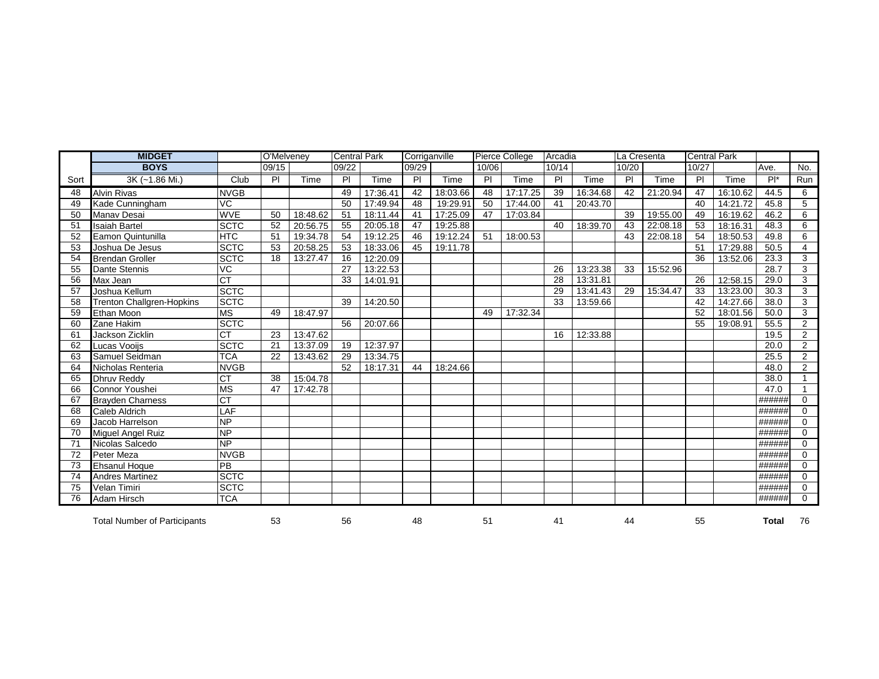|      | <b>MIDGET</b>                       |                        | O'Melveney |          | <b>Central Park</b> |          | Corriganville  |          |                | Pierce College | Arcadia        |          | La Cresenta    |             | <b>Central Park</b> |          |        |                |
|------|-------------------------------------|------------------------|------------|----------|---------------------|----------|----------------|----------|----------------|----------------|----------------|----------|----------------|-------------|---------------------|----------|--------|----------------|
|      | <b>BOYS</b>                         |                        | 09/15      |          | 09/22               |          | 09/29          |          | 10/06          |                | 10/14          |          | 10/20          |             | 10/27               |          | Ave.   | No.            |
| Sort | 3K (~1.86 Mi.)                      | Club                   | PI         | Time     | PI                  | Time     | $\overline{P}$ | Time     | $\overline{P}$ | Time           | $\overline{P}$ | Time     | $\overline{P}$ | <b>Time</b> | $\overline{P}$      | Time     | $Pl^*$ | Run            |
| 48   | <b>Alvin Rivas</b>                  | <b>NVGB</b>            |            |          | 49                  | 17:36.41 | 42             | 18:03.66 | 48             | 17:17.25       | 39             | 16:34.68 | 42             | 21:20.94    | 47                  | 16:10.62 | 44.5   | 6              |
| 49   | Kade Cunningham                     | VC                     |            |          | 50                  | 17:49.94 | 48             | 19:29.91 | 50             | 17:44.00       | 41             | 20:43.70 |                |             | 40                  | 14:21.72 | 45.8   | 5              |
| 50   | Manav Desai                         | <b>WVE</b>             | 50         | 18:48.62 | 51                  | 18:11.44 | 41             | 17:25.09 | 47             | 17:03.84       |                |          | 39             | 19:55.00    | 49                  | 16:19.62 | 46.2   | 6              |
| 51   | <b>Isaiah Bartel</b>                | <b>SCTC</b>            | 52         | 20:56.75 | 55                  | 20:05.18 | 47             | 19:25.88 |                |                | 40             | 18:39.70 | 43             | 22:08.18    | 53                  | 18:16.31 | 48.3   | 6              |
| 52   | Eamon Quintunilla                   | <b>HTC</b>             | 51         | 19:34.78 | 54                  | 19:12.25 | 46             | 19:12.24 | 51             | 18:00.53       |                |          | 43             | 22:08.18    | 54                  | 18:50.53 | 49.8   | 6              |
| 53   | Joshua De Jesus                     | <b>SCTC</b>            | 53         | 20:58.25 | 53                  | 18:33.06 | 45             | 19:11.78 |                |                |                |          |                |             | 51                  | 17:29.88 | 50.5   | $\overline{4}$ |
| 54   | <b>Brendan Groller</b>              | <b>SCTC</b>            | 18         | 13:27.47 | 16                  | 12:20.09 |                |          |                |                |                |          |                |             | 36                  | 13:52.06 | 23.3   | 3              |
| 55   | Dante Stennis                       | VC                     |            |          | 27                  | 13:22.53 |                |          |                |                | 26             | 13:23.38 | 33             | 15:52.96    |                     |          | 28.7   | 3              |
| 56   | Max Jean                            | $\overline{CT}$        |            |          | 33                  | 14:01.91 |                |          |                |                | 28             | 13:31.81 |                |             | 26                  | 12:58.15 | 29.0   | 3              |
| 57   | Joshua Kellum                       | <b>SCTC</b>            |            |          |                     |          |                |          |                |                | 29             | 13:41.43 | 29             | 15:34.47    | 33                  | 13:23.00 | 30.3   | 3              |
| 58   | Trenton Challgren-Hopkins           | <b>SCTC</b>            |            |          | 39                  | 14:20.50 |                |          |                |                | 33             | 13:59.66 |                |             | 42                  | 14:27.66 | 38.0   | 3              |
| 59   | Ethan Moon                          | <b>MS</b>              | 49         | 18:47.97 |                     |          |                |          | 49             | 17:32.34       |                |          |                |             | 52                  | 18:01.56 | 50.0   | 3              |
| 60   | Zane Hakim                          | <b>SCTC</b>            |            |          | 56                  | 20:07.66 |                |          |                |                |                |          |                |             | 55                  | 19:08.91 | 55.5   | $\overline{2}$ |
| 61   | Jackson Zicklin                     | $\overline{\text{CT}}$ | 23         | 13:47.62 |                     |          |                |          |                |                | 16             | 12:33.88 |                |             |                     |          | 19.5   | $\overline{2}$ |
| 62   | Lucas Vooijs                        | <b>SCTC</b>            | 21         | 13:37.09 | 19                  | 12:37.97 |                |          |                |                |                |          |                |             |                     |          | 20.0   | $\overline{2}$ |
| 63   | Samuel Seidman                      | <b>TCA</b>             | 22         | 13:43.62 | 29                  | 13:34.75 |                |          |                |                |                |          |                |             |                     |          | 25.5   | $\overline{2}$ |
| 64   | Nicholas Renteria                   | <b>NVGB</b>            |            |          | 52                  | 18:17.31 | 44             | 18:24.66 |                |                |                |          |                |             |                     |          | 48.0   | $\overline{2}$ |
| 65   | <b>Dhruv Reddy</b>                  | <b>CT</b>              | 38         | 15:04.78 |                     |          |                |          |                |                |                |          |                |             |                     |          | 38.0   |                |
| 66   | Connor Youshei                      | <b>MS</b>              | 47         | 17:42.78 |                     |          |                |          |                |                |                |          |                |             |                     |          | 47.0   | $\mathbf{1}$   |
| 67   | <b>Brayden Charness</b>             | CT                     |            |          |                     |          |                |          |                |                |                |          |                |             |                     |          | ###### | $\mathbf 0$    |
| 68   | <b>Caleb Aldrich</b>                | LAF                    |            |          |                     |          |                |          |                |                |                |          |                |             |                     |          | ###### | $\mathbf 0$    |
| 69   | Jacob Harrelson                     | <b>NP</b>              |            |          |                     |          |                |          |                |                |                |          |                |             |                     |          | ###### | $\Omega$       |
| 70   | Miguel Angel Ruiz                   | NP                     |            |          |                     |          |                |          |                |                |                |          |                |             |                     |          | ###### | $\Omega$       |
| 71   | Nicolas Salcedo                     | <b>NP</b>              |            |          |                     |          |                |          |                |                |                |          |                |             |                     |          | ###### | $\mathbf 0$    |
| 72   | Peter Meza                          | <b>NVGB</b>            |            |          |                     |          |                |          |                |                |                |          |                |             |                     |          | ###### | $\mathbf 0$    |
| 73   | <b>Ehsanul Hoque</b>                | PB                     |            |          |                     |          |                |          |                |                |                |          |                |             |                     |          | ###### | $\Omega$       |
| 74   | <b>Andres Martinez</b>              | <b>SCTC</b>            |            |          |                     |          |                |          |                |                |                |          |                |             |                     |          | ###### | $\Omega$       |
| 75   | <b>Velan Timiri</b>                 | <b>SCTC</b>            |            |          |                     |          |                |          |                |                |                |          |                |             |                     |          | ###### | $\mathbf 0$    |
| 76   | Adam Hirsch                         | <b>TCA</b>             |            |          |                     |          |                |          |                |                |                |          |                |             |                     |          | ###### | $\Omega$       |
|      | <b>Total Number of Participants</b> |                        | 53         |          | 56                  |          | 48             |          | 51             |                | 41             |          | 44             |             | 55                  |          | Total  | 76             |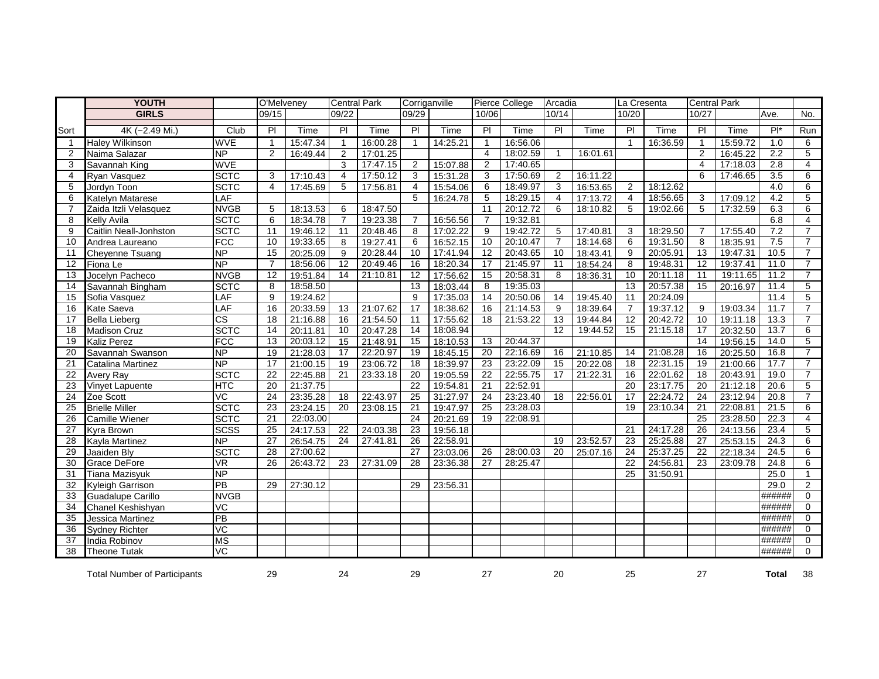|                 | <b>YOUTH</b>                        |                          | O'Melveney      |          | <b>Central Park</b> |          | Corriganville   |          |                 | <b>Pierce College</b> | Arcadia         |          | La Cresenta     |          | <b>Central Park</b> |          |                  |                |
|-----------------|-------------------------------------|--------------------------|-----------------|----------|---------------------|----------|-----------------|----------|-----------------|-----------------------|-----------------|----------|-----------------|----------|---------------------|----------|------------------|----------------|
|                 | <b>GIRLS</b>                        |                          | 09/15           |          | 09/22               |          | 09/29           |          | 10/06           |                       | 10/14           |          | 10/20           |          | 10/27               |          | Ave.             | No.            |
| Sort            | 4K (~2.49 Mi.)                      | Club                     | $\overline{P}$  | Time     | $\overline{P}$      | Time     | $\overline{P}$  | Time     | $\overline{P}$  | Time                  | $\overline{P}$  | Time     | PI              | Time     | $\overline{P}$      | Time     | $Pl^*$           | Run            |
| $\overline{1}$  | <b>Haley Wilkinson</b>              | <b>WVE</b>               | $\mathbf{1}$    | 15:47.34 | $\mathbf{1}$        | 16:00.28 | $\mathbf{1}$    | 14:25.21 | $\mathbf{1}$    | 16:56.06              |                 |          | $\overline{1}$  | 16:36.59 | $\mathbf{1}$        | 15:59.72 | 1.0              | 6              |
| 2               | Naima Salazar                       | $\overline{\sf NP}$      | $\overline{2}$  | 16:49.44 | $\overline{2}$      | 17:01.25 |                 |          | $\overline{4}$  | 18:02.59              | $\mathbf{1}$    | 16:01.61 |                 |          | $\overline{2}$      | 16:45.22 | $\overline{2.2}$ | 5              |
| 3               | Savannah King                       | <b>WVE</b>               |                 |          | 3                   | 17:47.15 | $\overline{2}$  | 15:07.88 | $\overline{2}$  | 17:40.65              |                 |          |                 |          | $\overline{4}$      | 17:18.03 | 2.8              | $\overline{4}$ |
| 4               | Ryan Vasquez                        | <b>SCTC</b>              | 3               | 17:10.43 | $\overline{4}$      | 17:50.12 | 3               | 15:31.28 | 3               | 17:50.69              | $\overline{2}$  | 16:11.22 |                 |          | 6                   | 17:46.65 | 3.5              | 6              |
| 5               | Jordyn Toon                         | <b>SCTC</b>              | $\overline{4}$  | 17:45.69 | 5                   | 17:56.81 | 4               | 15:54.06 | 6               | 18:49.97              | 3               | 16:53.65 | 2               | 18:12.62 |                     |          | 4.0              | 6              |
| 6               | Katelyn Matarese                    | LAF                      |                 |          |                     |          | 5               | 16:24.78 | 5               | 18:29.15              | $\overline{4}$  | 17:13.72 | $\overline{4}$  | 18:56.65 | 3                   | 17:09.12 | 4.2              | 5              |
|                 | Zaida Itzli Velasquez               | <b>NVGB</b>              | 5               | 18:13.53 | 6                   | 18:47.50 |                 |          | 11              | 20:12.72              | 6               | 18:10.82 | 5               | 19:02.66 | 5                   | 17:32.59 | 6.3              | 6              |
| 8               | <b>Kelly Avila</b>                  | <b>SCTC</b>              | 6               | 18:34.78 | $\overline{7}$      | 19:23.38 | 7               | 16:56.56 | $\overline{7}$  | 19:32.81              |                 |          |                 |          |                     |          | 6.8              | $\overline{4}$ |
| 9               | Caitlin Neall-Jonhston              | <b>SCTC</b>              | 11              | 19:46.12 | 11                  | 20:48.46 | 8               | 17:02.22 | 9               | 19:42.72              | 5               | 17:40.81 | 3               | 18:29.50 |                     | 17:55.40 | 7.2              | $\overline{7}$ |
| 10              | Andrea Laureano                     | FCC                      | 10              | 19:33.65 | 8                   | 19:27.41 | 6               | 16:52.15 | 10              | 20:10.47              | $\overline{7}$  | 18:14.68 | 6               | 19:31.50 | 8                   | 18:35.91 | 7.5              | $\overline{7}$ |
| 11              | Cheyenne Tsuang                     | <b>NP</b>                | 15              | 20:25.09 | 9                   | 20:28.44 | 10              | 17:41.94 | 12              | 20:43.65              | 10              | 18:43.41 | 9               | 20:05.91 | 13                  | 19:47.31 | 10.5             | $\overline{7}$ |
| 12              | Fiona Le                            | $\overline{\mathsf{NP}}$ | $\overline{7}$  | 18:56.06 | $\overline{12}$     | 20:49.46 | 16              | 18:20.34 | 17              | 21:45.97              | 11              | 18:54.24 | 8               | 19:48.31 | $\overline{12}$     | 19:37.41 | 11.0             | $\overline{7}$ |
| 13              | Jocelyn Pacheco                     | <b>NVGB</b>              | 12              | 19:51.84 | 14                  | 21:10.81 | 12              | 17:56.62 | 15              | 20:58.31              | 8               | 18:36.31 | 10              | 20:11.18 | 11                  | 19:11.65 | 11.2             | $\overline{7}$ |
| 14              | Savannah Bingham                    | <b>SCTC</b>              | 8               | 18:58.50 |                     |          | 13              | 18:03.44 | 8               | 19:35.03              |                 |          | 13              | 20:57.38 | 15                  | 20:16.97 | 11.4             | 5              |
| 15              | Sofia Vasquez                       | LAF                      | 9               | 19:24.62 |                     |          | 9               | 17:35.03 | 14              | 20:50.06              | 14              | 19:45.40 | 11              | 20:24.09 |                     |          | 11.4             | 5              |
| 16              | Kate Saeva                          | LAF                      | 16              | 20:33.59 | 13                  | 21:07.62 | $\overline{17}$ | 18:38.62 | 16              | 21:14.53              | $\overline{9}$  | 18:39.64 | $\overline{7}$  | 19:37.12 | 9                   | 19:03.34 | 11.7             | $\overline{7}$ |
| 17              | <b>Bella Lieberg</b>                | $\overline{\text{cs}}$   | 18              | 21:16.88 | 16                  | 21:54.50 | 11              | 17:55.62 | 18              | 21:53.22              | 13              | 19:44.84 | 12              | 20:42.72 | 10                  | 19:11.18 | 13.3             | $\overline{7}$ |
| 18              | Madison Cruz                        | <b>SCTC</b>              | 14              | 20:11.81 | 10                  | 20:47.28 | 14              | 18:08.94 |                 |                       | $\overline{12}$ | 19:44.52 | 15              | 21:15.18 | 17                  | 20:32.50 | 13.7             | 6              |
| 19              | <b>Kaliz Perez</b>                  | FCC                      | 13              | 20:03.12 | 15                  | 21:48.91 | 15              | 18:10.53 | 13              | 20:44.37              |                 |          |                 |          | 14                  | 19:56.15 | 14.0             | 5              |
| 20              | Savannah Swanson                    | <b>NP</b>                | 19              | 21:28.03 | 17                  | 22:20.97 | $\overline{19}$ | 18:45.15 | $\overline{20}$ | 22:16.69              | 16              | 21:10.85 | 14              | 21:08.28 | 16                  | 20:25.50 | 16.8             | $\overline{7}$ |
| 21              | Catalina Martinez                   | $\overline{NP}$          | 17              | 21:00.15 | 19                  | 23:06.72 | 18              | 18:39.97 | 23              | 23:22.09              | 15              | 20:22.08 | 18              | 22:31.15 | 19                  | 21:00.66 | 17.7             | $\overline{7}$ |
| 22              | <b>Avery Ray</b>                    | <b>SCTC</b>              | 22              | 22:45.88 | 21                  | 23:33.18 | 20              | 19:05.59 | 22              | 22:55.75              | 17              | 21:22.31 | 16              | 22:01.62 | 18                  | 20:43.91 | 19.0             | $\overline{7}$ |
| 23              | Vinyet Lapuente                     | <b>HTC</b>               | 20              | 21:37.75 |                     |          | $\overline{22}$ | 19:54.81 | $\overline{21}$ | 22:52.91              |                 |          | $\overline{20}$ | 23:17.75 | $\overline{20}$     | 21:12.18 | 20.6             | $\overline{5}$ |
| 24              | Zoe Scott                           | VC                       | 24              | 23:35.28 | 18                  | 22:43.97 | 25              | 31:27.97 | 24              | 23:23.40              | 18              | 22:56.01 | 17              | 22:24.72 | 24                  | 23:12.94 | 20.8             | $\overline{7}$ |
| $\overline{25}$ | <b>Brielle Miller</b>               | <b>SCTC</b>              | 23              | 23:24.15 | 20                  | 23:08.15 | 21              | 19:47.97 | 25              | 23:28.03              |                 |          | 19              | 23:10.34 | 21                  | 22:08.81 | 21.5             | 6              |
| 26              | Camille Wiener                      | <b>SCTC</b>              | 21              | 22:03.00 |                     |          | 24              | 20:21.69 | 19              | 22:08.91              |                 |          |                 |          | 25                  | 23:28.50 | 22.3             | $\overline{4}$ |
| 27              | Kyra Brown                          | <b>SCSS</b>              | $\overline{25}$ | 24:17.53 | 22                  | 24:03.38 | 23              | 19:56.18 |                 |                       |                 |          | 21              | 24:17.28 | 26                  | 24:13.56 | 23.4             | 5              |
| 28              | Kayla Martinez                      | <b>NP</b>                | $\overline{27}$ | 26:54.75 | $\overline{24}$     | 27:41.81 | $\overline{26}$ | 22:58.91 |                 |                       | 19              | 23:52.57 | 23              | 25:25.88 | $\overline{27}$     | 25:53.15 | 24.3             | 6              |
| 29              | Jaaiden Bly                         | <b>SCTC</b>              | 28              | 27:00.62 |                     |          | 27              | 23:03.06 | 26              | 28:00.03              | 20              | 25:07.16 | 24              | 25:37.25 | 22                  | 22:18.34 | 24.5             | 6              |
| 30              | Grace DeFore                        | VR                       | $\overline{26}$ | 26:43.72 | 23                  | 27:31.09 | $\overline{28}$ | 23:36.38 | $\overline{27}$ | 28:25.47              |                 |          | $\overline{22}$ | 24:56.81 | $\overline{23}$     | 23:09.78 | 24.8             | 6              |
| 31              | Tiana Mazisyuk                      | <b>NP</b>                |                 |          |                     |          |                 |          |                 |                       |                 |          | 25              | 31:50.91 |                     |          | 25.0             | $\mathbf{1}$   |
| $\overline{32}$ | Kyleigh Garrison                    | $\overline{PB}$          | 29              | 27:30.12 |                     |          | 29              | 23:56.31 |                 |                       |                 |          |                 |          |                     |          | 29.0             | 2              |
| 33              | Guadalupe Carillo                   | <b>NVGB</b>              |                 |          |                     |          |                 |          |                 |                       |                 |          |                 |          |                     |          | ######           | $\mathbf 0$    |
| 34              | Chanel Keshishyan                   | VC                       |                 |          |                     |          |                 |          |                 |                       |                 |          |                 |          |                     |          | ######           | $\Omega$       |
| 35              | Jessica Martinez                    | $\overline{PB}$          |                 |          |                     |          |                 |          |                 |                       |                 |          |                 |          |                     |          | ######           | $\Omega$       |
| 36              | <b>Sydney Richter</b>               | $\overline{C}$           |                 |          |                     |          |                 |          |                 |                       |                 |          |                 |          |                     |          | ######           | $\mathbf 0$    |
| 37              | India Robinov                       | <b>MS</b>                |                 |          |                     |          |                 |          |                 |                       |                 |          |                 |          |                     |          | ######           | $\mathbf 0$    |
| 38              | <b>Theone Tutak</b>                 | VC                       |                 |          |                     |          |                 |          |                 |                       |                 |          |                 |          |                     |          | ######           | $\Omega$       |
|                 | <b>Total Number of Participants</b> |                          | 29              |          | 24                  |          | 29              |          | 27              |                       | 20              |          | 25              |          | 27                  |          | <b>Total</b>     | 38             |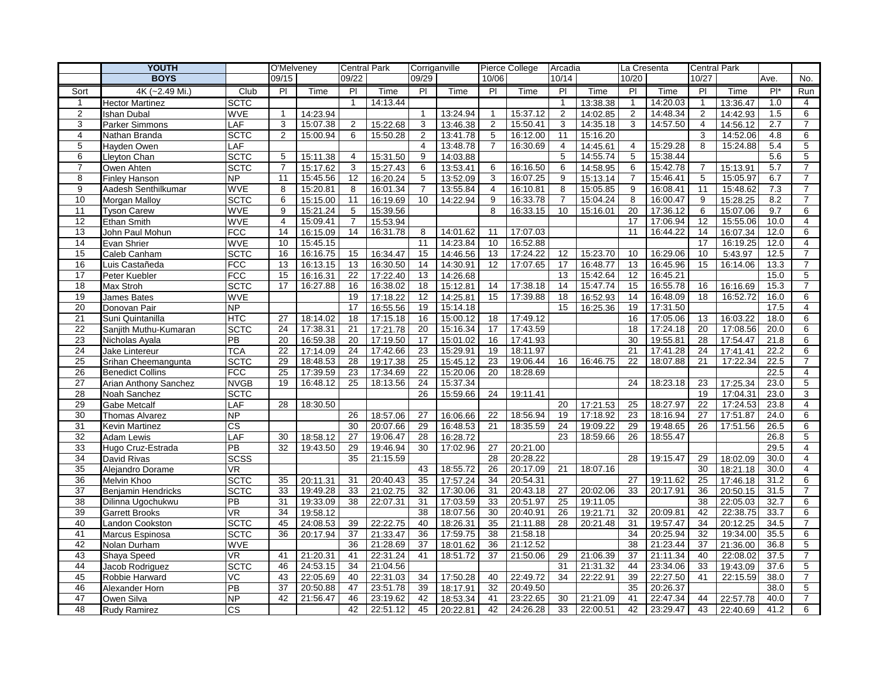|                         | <b>YOUTH</b>              | O'Melveney               |                 | <b>Central Park</b> |                 | Corriganville        |                |          | Pierce College          | Arcadia  |                | La Cresenta |                 | <b>Central Park</b>  |                |          |        |                     |
|-------------------------|---------------------------|--------------------------|-----------------|---------------------|-----------------|----------------------|----------------|----------|-------------------------|----------|----------------|-------------|-----------------|----------------------|----------------|----------|--------|---------------------|
|                         | <b>BOYS</b>               |                          | 09/15           |                     | 09/22           |                      | 09/29          |          | 10/06                   |          | 10/14          |             | 10/20           |                      | 10/27          |          | Ave.   | No.                 |
| Sort                    | 4K (~2.49 Mi.)            | Club                     | PI              | Time                | PI              | Time                 | PI             | Time     | PI                      | Time     | PI             | Time        | P <sub>1</sub>  | Time                 | P              | Time     | $Pl^*$ | Run                 |
| $\mathbf{1}$            | <b>Hector Martinez</b>    | <b>SCTC</b>              |                 |                     | $\mathbf{1}$    | 14:13.44             |                |          |                         |          | $\overline{1}$ | 13:38.38    | $\mathbf{1}$    | 14:20.03             | $\mathbf{1}$   | 13:36.47 | 1.0    | 4                   |
| $\overline{\mathbf{c}}$ | <b>Ishan Dubal</b>        | <b>WVE</b>               | $\mathbf{1}$    | 14:23.94            |                 |                      | -1             | 13:24.94 | $\overline{\mathbf{1}}$ | 15:37.12 | 2              | 14:02.85    | $\overline{c}$  | 14:48.34             | $\overline{2}$ | 14:42.93 | 1.5    | 6                   |
| 3                       | <b>Parker Simmons</b>     | LAF                      | 3               | 15:07.38            | $\overline{2}$  | 15:22.68             | 3              | 13:46.38 | 2                       | 15:50.41 | 3              | 14:35.18    | 3               | 14:57.50             | $\overline{4}$ | 14:56.12 | 2.7    | $\overline{7}$      |
| 4                       | Nathan Branda             | <b>SCTC</b>              | 2               | 15:00.94            | 6               | 15:50.28             | 2              | 13:41.78 | 5                       | 16:12.00 | 11             | 15:16.20    |                 |                      | 3              | 14:52.06 | 4.8    | 6                   |
| 5                       | Hayden Owen               | LAF                      |                 |                     |                 |                      | 4              | 13:48.78 | $\overline{7}$          | 16:30.69 | $\overline{4}$ | 14:45.61    | $\overline{4}$  | 15:29.28             | 8              | 15:24.88 | 5.4    | 5                   |
| 6                       | Lleyton Chan              | <b>SCTC</b>              | 5               | 15:11.38            | 4               | 15:31.50             | 9              | 14:03.88 |                         |          | 5              | 14:55.74    | 5               | 15:38.44             |                |          | 5.6    | 5                   |
| $\overline{7}$          | Owen Ahten                | <b>SCTC</b>              | $\overline{7}$  | 15:17.62            | 3               | 15:27.43             | 6              | 13:53.41 | 6                       | 16:16.50 | 6              | 14:58.95    | 6               | 15:42.78             | $\overline{7}$ | 15:13.91 | 5.7    | $\overline{7}$      |
| 8                       | <b>Finley Hanson</b>      | NP                       | $\overline{11}$ | 15:45.56            | $\overline{12}$ | 16:20.24             | 5              | 13:52.09 | 3                       | 16:07.25 | 9              | 15:13.14    | $\overline{7}$  | 15:46.41             | 5              | 15:05.97 | 6.7    | $\overline{7}$      |
| 9                       | Aadesh Senthilkumar       | <b>WVE</b>               | 8               | 15:20.81            | 8               | 16:01.34             | $\overline{7}$ | 13:55.84 | $\overline{4}$          | 16:10.81 | 8              | 15:05.85    | 9               | 16:08.41             | 11             | 15:48.62 | 7.3    | $\overline{7}$      |
| 10                      | Morgan Malloy             | <b>SCTC</b>              | 6               | 15:15.00            | 11              | 16:19.69             | 10             | 14:22.94 | 9                       | 16:33.78 | $\overline{7}$ | 15:04.24    | 8               | 16:00.47             | 9              | 15:28.25 | 8.2    | $\overline{7}$      |
| 11                      | <b>Tyson Carew</b>        | <b>WVE</b>               | 9               | 15:21.24            | 5               | 15:39.56             |                |          | 8                       | 16:33.15 | 10             | 15:16.01    | 20              | 17:36.12             | 6              | 15:07.06 | 9.7    | 6                   |
| 12                      | Ethan Smith               | <b>WVE</b>               | $\overline{4}$  | 15:09.41            | $\overline{7}$  | 15:53.94             |                |          |                         |          |                |             | 17              | 17:06.94             | 12             | 15:55.06 | 10.0   | $\overline{4}$      |
| 13                      | John Paul Mohun           | <b>FCC</b>               | 14              | 16:15.09            | 14              | 16:31.78             | 8              | 14:01.62 | 11                      | 17:07.03 |                |             | 11              | 16:44.22             | 14             | 16:07.34 | 12.0   | 6                   |
| 14                      | Evan Shrier               | <b>WVE</b>               | 10              | 15:45.15            |                 |                      | 11             | 14:23.84 | 10                      | 16:52.88 |                |             |                 |                      | 17             | 16:19.25 | 12.0   | $\overline{4}$      |
| 15                      | Caleb Canham              | <b>SCTC</b>              | 16              | 16:16.75            | 15              | 16:34.47             | 15             | 14:46.56 | 13                      | 17:24.22 | 12             | 15:23.70    | 10              | 16:29.06             | 10             | 5:43.97  | 12.5   | $\overline{7}$      |
| 16                      | Luis Castañeda            | FCC                      | 13              | 16:13.15            | 13              | 16:30.50             | 14             | 14:30.91 | 12                      | 17:07.65 | 17             | 16:48.77    | 13              | 16:45.96             | 15             | 16:14.06 | 13.3   | $\overline{7}$      |
| 17                      | Peter Kuebler             | <b>FCC</b>               | 15              | 16:16.31            | 22              | 17:22.40             | 13             | 14:26.68 |                         |          | 13             | 15:42.64    | 12              | 16:45.21             |                |          | 15.0   | 5                   |
| 18                      | Max Stroh                 | <b>SCTC</b>              | 17              | 16:27.88            | 16              | 16:38.02             | 18             | 15:12.81 | 14                      | 17:38.18 | 14             | 15:47.74    | 15              | 16:55.78             | 16             | 16:16.69 | 15.3   | $\overline{7}$      |
| 19                      | James Bates               | <b>WVE</b>               |                 |                     | 19              | 17:18.22             | 12             | 14:25.81 | 15                      | 17:39.88 | 18             | 16:52.93    | 14              | 16:48.09             | 18             | 16:52.72 | 16.0   | 6                   |
| 20                      | Donovan Pair              | NP.                      |                 |                     | 17              | 16:55.56             | 19             | 15:14.18 |                         |          | 15             | 16:25.36    | 19              | 17:31.50             |                |          | 17.5   | $\overline{4}$      |
| 21                      | Suni Quintanilla          | <b>HTC</b>               | 27              | 18:14.02            | 18              | 17:15.18             | 16             | 15:00.12 | 18                      | 17:49.12 |                |             | 16              | 17:05.06             | 13             | 16:03.22 | 18.0   | 6                   |
| 22                      | Sanjith Muthu-Kumaran     | <b>SCTC</b>              | 24              | 17:38.31            | 21              | 17:21.78             | 20             | 15:16.34 | 17                      | 17:43.59 |                |             | 18              | 17:24.18             | 20             | 17:08.56 | 20.0   | 6                   |
| 23                      | Nicholas Ayala            | PB                       | 20              | 16:59.38            | 20              | 17:19.50             | 17             | 15:01.02 | 16                      | 17:41.93 |                |             | 30              | 19:55.81             | 28             | 17:54.47 | 21.8   | 6                   |
| 24                      | Jake Lintereur            | <b>TCA</b>               | 22              | 17:14.09            | 24              | 17:42.66             | 23             | 15:29.91 | 19                      | 18:11.97 |                |             | 21              | 17:41.28             | 24             | 17:41.41 | 22.2   | 6                   |
| 25                      | Srihan Cheemangunta       | <b>SCTC</b>              | 29              | 18:48.53            | 28              | 19:17.38             | 25             | 15:45.12 | 23                      | 19:06.44 | 16             | 16:46.75    | 22              | 18:07.88             | 21             | 17:22.34 | 22.5   | $\overline{7}$      |
| 26                      | <b>Benedict Collins</b>   | FCC                      | 25              | 17:39.59            | 23              | 17:34.69             | 22             | 15:20.06 | 20                      | 18:28.69 |                |             |                 |                      |                |          | 22.5   | 4                   |
| 27                      | Arian Anthony Sanchez     | <b>NVGB</b>              | 19              | 16:48.12            | 25              | 18:13.56             | 24             | 15:37.34 |                         |          |                |             | 24              | 18:23.18             | 23             | 17:25.34 | 23.0   | 5                   |
| 28                      | Noah Sanchez              | <b>SCTC</b>              |                 |                     |                 |                      | 26             | 15:59.66 | 24                      | 19:11.41 |                |             |                 |                      | 19             | 17:04.31 | 23.0   | 3                   |
| 29                      | <b>Gabe Metcalf</b>       | LAF                      | 28              | 18:30.50            |                 |                      |                |          |                         |          | 20             | 17:21.53    | 25              | 18:27.97             | 22             | 17:24.53 | 23.8   | $\overline{4}$      |
| 30                      | Thomas Alvarez            | <b>NP</b>                |                 |                     | 26              | 18:57.06             | 27             | 16:06.66 | 22                      | 18:56.94 | 19             | 17:18.92    | 23              | 18:16.94             | 27             | 17:51.87 | 24.0   | 6                   |
| 31                      | Kevin Martinez            | $\overline{\text{cs}}$   |                 |                     | 30              | 20:07.66             | 29             | 16:48.53 | 21                      | 18:35.59 | 24             | 19:09.22    | 29              | 19:48.65             | 26             | 17:51.56 | 26.5   | 6                   |
| 32                      | Adam Lewis                | LAF                      | 30              | 18:58.12            | 27              | 19:06.47             | 28             | 16:28.72 |                         |          | 23             | 18:59.66    | 26              | 18:55.47             |                |          | 26.8   | 5                   |
| 33                      | Hugo Cruz-Estrada         | PB                       | 32              | 19:43.50            | 29              | 19:46.94             | 30             | 17:02.96 | 27                      | 20:21.00 |                |             |                 |                      |                |          | 29.5   | 4                   |
| 34                      | David Rivas               | <b>SCSS</b>              |                 |                     | 35              | 21:15.59             |                |          | 28                      | 20:28.22 |                |             | 28              | 19:15.47             | 29             | 18:02.09 | 30.0   | $\overline{4}$      |
| 35                      | Alejandro Dorame          | VR                       |                 |                     |                 |                      | 43             | 18:55.72 | 26                      | 20:17.09 | 21             | 18:07.16    |                 |                      | 30             | 18:21.18 | 30.0   | $\overline{4}$      |
| 36                      | Melvin Khoo               | <b>SCTC</b>              | 35              | 20:11.31            | 31              | 20:40.43             | 35             | 17:57.24 | 34                      | 20:54.31 |                |             | $\overline{27}$ | 19:11.62             | 25             | 17:46.18 | 31.2   | 6                   |
| 37                      | <b>Benjamin Hendricks</b> | <b>SCTC</b>              | 33              | 19:49.28            | 33              | 21:02.75             | 32             | 17:30.06 | 31                      | 20:43.18 | 27             | 20:02.06    | 33              | 20:17.91             | 36             | 20:50.15 | 31.5   | $\overline{7}$      |
| 38                      | Dilinna Ugochukwu         | PB                       | 31              | 19:33.09            | 38              | 22:07.31             | 31             | 17:03.59 | 33                      | 20:51.97 | 25             | 19:11.05    |                 |                      | 38             | 22:05.03 | 32.7   | 6                   |
| 39                      | <b>Garrett Brooks</b>     | <b>VR</b>                | 34              | 19:58.12            |                 |                      | 38             | 18:07.56 | 30                      | 20:40.91 | 26             | 19:21.71    | 32              | 20:09.81             | 42             | 22:38.75 | 33.7   | 6                   |
| 40                      | Landon Cookston           | <b>SCTC</b>              | 45              | 24:08.53            | 39              | 22:22.75             | 40             | 18:26.31 | 35                      | 21:11.88 | 28             | 20:21.48    | 31              | 19:57.47             | 34             | 20:12.25 | 34.5   | $\overline{7}$      |
| 41                      | Marcus Espinosa           | <b>SCTC</b>              | 36              | 20:17.94            | 37              | 21:33.47             | 36             | 17:59.75 | 38                      | 21:58.18 |                |             | 34              | 20:25.94             | 32             | 19:34.00 | 35.5   | 6                   |
| 42                      | Nolan Durham              | WVE                      |                 |                     | 36              | 21:28.69             | 37             | 18:01.62 | 36                      | 21:12.52 |                |             | 38              | 21:23.44             | 37             | 21:36.00 | 36.8   | 5                   |
| 43                      | Shaya Speed               | $\overline{\mathsf{VR}}$ | 41              | 21:20.31            | 41              | 22:31.24             | 41             | 18:51.72 | 37                      | 21:50.06 | 29             | 21:06.39    | 37              | 21:11.34             | 40             | 22:08.02 | 37.5   | $\overline{7}$      |
| 44                      | Jacob Rodriguez           | <b>SCTC</b>              | 46<br>43        | 24:53.15            | 34              | 21:04.56             |                |          | 40                      |          | 31<br>34       | 21:31.32    | 44              | 23:34.06             | 33             | 19:43.09 | 37.6   | 5<br>$\overline{7}$ |
| 45                      | Robbie Harward            | VC<br>$\overline{PB}$    | 37              | 22:05.69            | 40<br>47        | 22:31.03<br>23:51.78 | 34             | 17:50.28 | 32                      | 22:49.72 |                | 22:22.91    | 39              | 22:27.50<br>20:26.37 | 41             | 22:15.59 | 38.0   |                     |
| 46<br>47                | Alexander Horn            |                          | 42              | 20:50.88            | 46              |                      | 39<br>42       | 18:17.91 | 41                      | 20:49.50 |                |             | 35<br>41        |                      |                |          | 38.0   | 5<br>$\overline{7}$ |
|                         | Owen Silva                | <b>NP</b>                |                 | 21:56.47            |                 | 23:19.62             |                | 18:53.34 |                         | 23:22.65 | 30             | 21:21.09    |                 | 22:47.34             | 44             | 22:57.78 | 40.0   |                     |
| 48                      | Rudy Ramirez              | $\overline{\text{cs}}$   |                 |                     | 42              | 22:51.12             | 45             | 20:22.81 | 42                      | 24:26.28 | 33             | 22:00.51    | 42              | 23:29.47             | 43             | 22:40.69 | 41.2   | 6                   |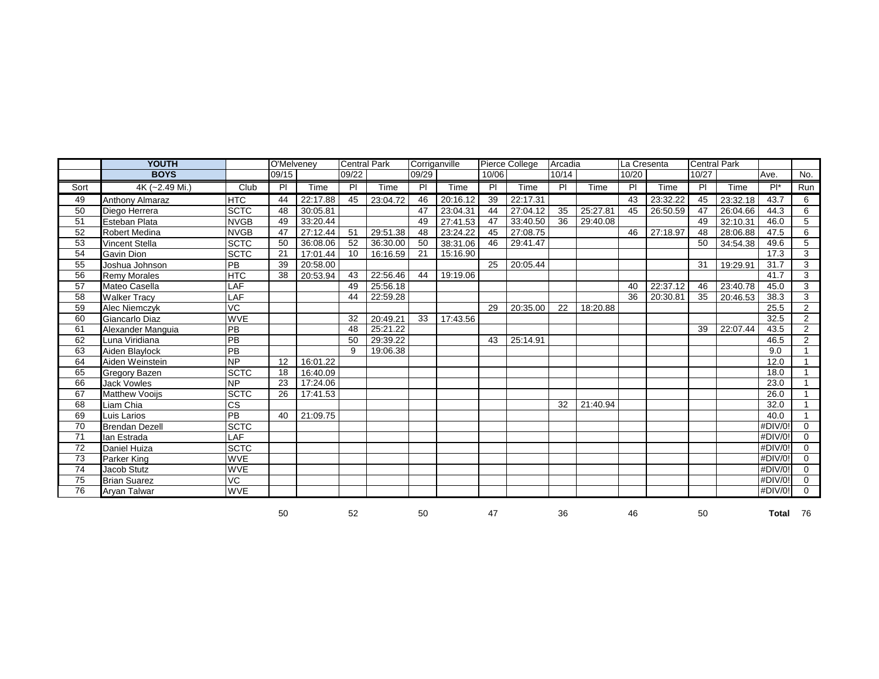|      | <b>YOUTH</b>           | O'Melveney      |       |          | <b>Central Park</b><br>Corriganville |          |       |          | Pierce College | Arcadia  |       | La Cresenta |       | Central Park |       |          |            |                |
|------|------------------------|-----------------|-------|----------|--------------------------------------|----------|-------|----------|----------------|----------|-------|-------------|-------|--------------|-------|----------|------------|----------------|
|      | <b>BOYS</b>            |                 | 09/15 |          | 09/22                                |          | 09/29 |          | 10/06          |          | 10/14 |             | 10/20 |              | 10/27 |          | Ave.       | No.            |
| Sort | 4K (~2.49 Mi.)         | Club            | PI    | Time     | PI                                   | Time     | PI    | Time     | PI             | Time     | PI    | Time        | PI    | Time         | PI    | Time     | $Pl^*$     | Run            |
| 49   | <b>Anthony Almaraz</b> | <b>HTC</b>      | 44    | 22:17.88 | 45                                   | 23:04.72 | 46    | 20:16.12 | 39             | 22:17.31 |       |             | 43    | 23:32.22     | 45    | 23:32.18 | 43.7       | 6              |
| 50   | Diego Herrera          | <b>SCTC</b>     | 48    | 30:05.81 |                                      |          | 47    | 23:04.31 | 44             | 27:04.12 | 35    | 25:27.81    | 45    | 26:50.59     | 47    | 26:04.66 | 44.3       | 6              |
| 51   | Esteban Plata          | <b>NVGB</b>     | 49    | 33:20.44 |                                      |          | 49    | 27:41.53 | 47             | 33:40.50 | 36    | 29:40.08    |       |              | 49    | 32:10.31 | 46.0       | 5              |
| 52   | <b>Robert Medina</b>   | <b>NVGB</b>     | 47    | 27:12.44 | 51                                   | 29:51.38 | 48    | 23:24.22 | 45             | 27:08.75 |       |             | 46    | 27:18.97     | 48    | 28:06.88 | 47.5       | 6              |
| 53   | Vincent Stella         | <b>SCTC</b>     | 50    | 36:08.06 | 52                                   | 36:30.00 | 50    | 38:31.06 | 46             | 29:41.47 |       |             |       |              | 50    | 34:54.38 | 49.6       | 5              |
| 54   | <b>Gavin Dion</b>      | <b>SCTC</b>     | 21    | 17:01.44 | 10 <sup>°</sup>                      | 16:16.59 | 21    | 15:16.90 |                |          |       |             |       |              |       |          | 17.3       | 3              |
| 55   | Joshua Johnson         | PB              | 39    | 20:58.00 |                                      |          |       |          | 25             | 20:05.44 |       |             |       |              | 31    | 19:29.91 | 31.7       | 3              |
| 56   | <b>Remy Morales</b>    | <b>HTC</b>      | 38    | 20:53.94 | 43                                   | 22:56.46 | 44    | 19:19.06 |                |          |       |             |       |              |       |          | 41.7       | 3              |
| 57   | Mateo Casella          | LAF             |       |          | 49                                   | 25:56.18 |       |          |                |          |       |             | 40    | 22:37.12     | 46    | 23:40.78 | 45.0       | $\overline{3}$ |
| 58   | <b>Walker Tracy</b>    | LAF             |       |          | 44                                   | 22:59.28 |       |          |                |          |       |             | 36    | 20:30.81     | 35    | 20:46.53 | 38.3       | 3              |
| 59   | <b>Alec Niemczyk</b>   | VC              |       |          |                                      |          |       |          | 29             | 20:35.00 | 22    | 18:20.88    |       |              |       |          | 25.5       | $\overline{2}$ |
| 60   | Giancarlo Diaz         | <b>WVE</b>      |       |          | 32                                   | 20:49.21 | 33    | 17:43.56 |                |          |       |             |       |              |       |          | 32.5       | $\overline{2}$ |
| 61   | Alexander Manguia      | PB              |       |          | 48                                   | 25:21.22 |       |          |                |          |       |             |       |              | 39    | 22:07.44 | 43.5       | $\overline{2}$ |
| 62   | Luna Viridiana         | PB              |       |          | 50                                   | 29:39.22 |       |          | 43             | 25:14.91 |       |             |       |              |       |          | 46.5       | $\overline{2}$ |
| 63   | Aiden Blaylock         | <b>PB</b>       |       |          | 9                                    | 19:06.38 |       |          |                |          |       |             |       |              |       |          | 9.0        | $\mathbf{1}$   |
| 64   | Aiden Weinstein        | <b>NP</b>       | 12    | 16:01.22 |                                      |          |       |          |                |          |       |             |       |              |       |          | 12.0       | $\mathbf{1}$   |
| 65   | <b>Gregory Bazen</b>   | <b>SCTC</b>     | 18    | 16:40.09 |                                      |          |       |          |                |          |       |             |       |              |       |          | 18.0       | $\mathbf{1}$   |
| 66   | <b>Jack Vowles</b>     | <b>NP</b>       | 23    | 17:24.06 |                                      |          |       |          |                |          |       |             |       |              |       |          | 23.0       | $\mathbf{1}$   |
| 67   | <b>Matthew Vooijs</b>  | <b>SCTC</b>     | 26    | 17:41.53 |                                      |          |       |          |                |          |       |             |       |              |       |          | 26.0       | $\mathbf{1}$   |
| 68   | Liam Chia              | <b>ICS</b>      |       |          |                                      |          |       |          |                |          | 32    | 21:40.94    |       |              |       |          | 32.0       |                |
| 69   | Luis Larios            | PB              | 40    | 21:09.75 |                                      |          |       |          |                |          |       |             |       |              |       |          | 40.0       | $\mathbf{1}$   |
| 70   | <b>Brendan Dezell</b>  | <b>SCTC</b>     |       |          |                                      |          |       |          |                |          |       |             |       |              |       |          | #DIV/0!    | $\Omega$       |
| 71   | lan Estrada            | LAF             |       |          |                                      |          |       |          |                |          |       |             |       |              |       |          | #DIV/0!    | $\Omega$       |
| 72   | Daniel Huiza           | <b>SCTC</b>     |       |          |                                      |          |       |          |                |          |       |             |       |              |       |          | #DIV/0!    | $\Omega$       |
| 73   | Parker King            | <b>WVE</b>      |       |          |                                      |          |       |          |                |          |       |             |       |              |       |          | #DIV/0!    | $\mathbf 0$    |
| 74   | Jacob Stutz            | <b>WVE</b>      |       |          |                                      |          |       |          |                |          |       |             |       |              |       |          | $#$ DIV/0! | $\mathbf 0$    |
| 75   | <b>Brian Suarez</b>    | $\overline{VC}$ |       |          |                                      |          |       |          |                |          |       |             |       |              |       |          | $#$ DIV/0! | $\Omega$       |
| 76   | Aryan Talwar           | <b>WVE</b>      |       |          |                                      |          |       |          |                |          |       |             |       |              |       |          | $#$ DIV/0! | $\Omega$       |
|      |                        |                 | 50    |          | 52                                   |          | 50    |          | 47             |          | 36    |             | 46    |              | 50    |          | Total 76   |                |